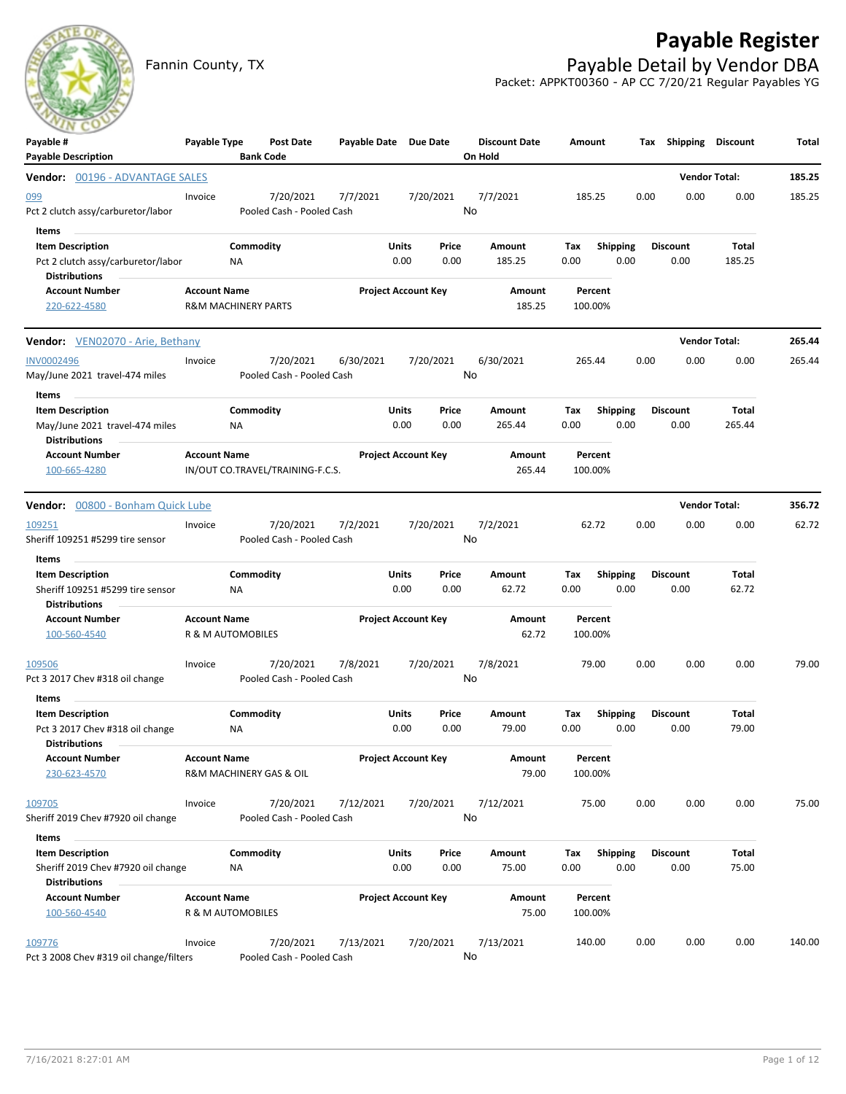## **Payable Register**



Fannin County, TX **Payable Detail by Vendor DBA** Packet: APPKT00360 - AP CC 7/20/21 Regular Payables YG

| $\sim$<br>Payable #<br><b>Payable Description</b>                                              | Payable Type        |                                | <b>Post Date</b><br><b>Bank Code</b>   | Payable Date Due Date |                            |                            | <b>Discount Date</b><br>On Hold | Amount             |                         | Тах  | <b>Shipping Discount</b> |                 | Total  |
|------------------------------------------------------------------------------------------------|---------------------|--------------------------------|----------------------------------------|-----------------------|----------------------------|----------------------------|---------------------------------|--------------------|-------------------------|------|--------------------------|-----------------|--------|
| Vendor: 00196 - ADVANTAGE SALES                                                                |                     |                                |                                        |                       |                            |                            |                                 |                    |                         |      | <b>Vendor Total:</b>     |                 | 185.25 |
| <u>099</u><br>Pct 2 clutch assy/carburetor/labor                                               | Invoice             |                                | 7/20/2021<br>Pooled Cash - Pooled Cash | 7/7/2021              |                            | 7/20/2021                  | 7/7/2021<br>No                  | 185.25             |                         | 0.00 | 0.00                     | 0.00            | 185.25 |
| Items<br><b>Item Description</b><br>Pct 2 clutch assy/carburetor/labor<br><b>Distributions</b> |                     | Commodity<br>ΝA                |                                        |                       | Units<br>0.00              | Price<br>0.00              | Amount<br>185.25                | Тах<br>0.00        | <b>Shipping</b><br>0.00 |      | <b>Discount</b><br>0.00  | Total<br>185.25 |        |
| <b>Account Number</b><br>220-622-4580                                                          | <b>Account Name</b> | <b>R&amp;M MACHINERY PARTS</b> |                                        |                       | <b>Project Account Key</b> |                            | Amount<br>185.25                | Percent<br>100.00% |                         |      |                          |                 |        |
| <b>Vendor:</b> VEN02070 - Arie, Bethany                                                        |                     |                                |                                        |                       |                            |                            |                                 |                    |                         |      | <b>Vendor Total:</b>     |                 | 265.44 |
| <b>INV0002496</b><br>May/June 2021 travel-474 miles                                            | Invoice             |                                | 7/20/2021<br>Pooled Cash - Pooled Cash | 6/30/2021             |                            | 7/20/2021                  | 6/30/2021<br>No                 | 265.44             |                         | 0.00 | 0.00                     | 0.00            | 265.44 |
| Items<br><b>Item Description</b><br>May/June 2021 travel-474 miles<br><b>Distributions</b>     |                     | Commodity<br>ΝA                |                                        |                       | Units<br>0.00              | Price<br>0.00              | Amount<br>265.44                | Тах<br>0.00        | <b>Shipping</b><br>0.00 |      | <b>Discount</b><br>0.00  | Total<br>265.44 |        |
| <b>Account Number</b><br>100-665-4280                                                          | <b>Account Name</b> |                                | IN/OUT CO.TRAVEL/TRAINING-F.C.S.       |                       | <b>Project Account Key</b> |                            | Amount<br>265.44                | Percent<br>100.00% |                         |      |                          |                 |        |
| <b>Vendor:</b> 00800 - Bonham Quick Lube                                                       |                     |                                |                                        |                       |                            |                            |                                 |                    |                         |      | <b>Vendor Total:</b>     |                 | 356.72 |
| 109251<br>Sheriff 109251 #5299 tire sensor                                                     | Invoice             |                                | 7/20/2021<br>Pooled Cash - Pooled Cash | 7/2/2021              |                            | 7/20/2021                  | 7/2/2021<br>No                  | 62.72              |                         | 0.00 | 0.00                     | 0.00            | 62.72  |
| Items<br><b>Item Description</b><br>Sheriff 109251 #5299 tire sensor<br><b>Distributions</b>   |                     | Commodity<br>NA                |                                        |                       | Units<br>0.00              | Price<br>0.00              | Amount<br>62.72                 | Tax<br>0.00        | <b>Shipping</b><br>0.00 |      | <b>Discount</b><br>0.00  | Total<br>62.72  |        |
| <b>Account Number</b><br>100-560-4540                                                          | <b>Account Name</b> | R & M AUTOMOBILES              |                                        |                       |                            | <b>Project Account Key</b> | Amount<br>62.72                 | Percent<br>100.00% |                         |      |                          |                 |        |
| 109506<br>Pct 3 2017 Chev #318 oil change                                                      | Invoice             |                                | 7/20/2021<br>Pooled Cash - Pooled Cash | 7/8/2021              |                            | 7/20/2021                  | 7/8/2021<br>No                  | 79.00              |                         | 0.00 | 0.00                     | 0.00            | 79.00  |
| Items<br><b>Item Description</b><br>Pct 3 2017 Chev #318 oil change<br><b>Distributions</b>    |                     | Commodity<br>ΝA                |                                        |                       | Units<br>0.00              | Price<br>0.00              | Amount<br>79.00                 | Tax<br>0.00        | <b>Shipping</b><br>0.00 |      | <b>Discount</b><br>0.00  | Total<br>79.00  |        |
| <b>Account Number</b><br>230-623-4570                                                          | <b>Account Name</b> |                                | R&M MACHINERY GAS & OIL                |                       | <b>Project Account Key</b> |                            | Amount<br>79.00                 | Percent<br>100.00% |                         |      |                          |                 |        |
| 109705<br>Sheriff 2019 Chev #7920 oil change                                                   | Invoice             |                                | 7/20/2021<br>Pooled Cash - Pooled Cash | 7/12/2021             |                            | 7/20/2021                  | 7/12/2021<br>No                 | 75.00              |                         | 0.00 | 0.00                     | 0.00            | 75.00  |
| Items<br><b>Item Description</b><br>Sheriff 2019 Chev #7920 oil change<br><b>Distributions</b> |                     | Commodity<br>ΝA                |                                        |                       | Units<br>0.00              | Price<br>0.00              | Amount<br>75.00                 | Tax<br>0.00        | <b>Shipping</b><br>0.00 |      | <b>Discount</b><br>0.00  | Total<br>75.00  |        |
| <b>Account Number</b><br>100-560-4540                                                          | <b>Account Name</b> | R & M AUTOMOBILES              |                                        |                       | <b>Project Account Key</b> |                            | Amount<br>75.00                 | Percent<br>100.00% |                         |      |                          |                 |        |
| 109776<br>Pct 3 2008 Chev #319 oil change/filters                                              | Invoice             |                                | 7/20/2021<br>Pooled Cash - Pooled Cash | 7/13/2021             |                            | 7/20/2021                  | 7/13/2021<br>No                 | 140.00             |                         | 0.00 | 0.00                     | 0.00            | 140.00 |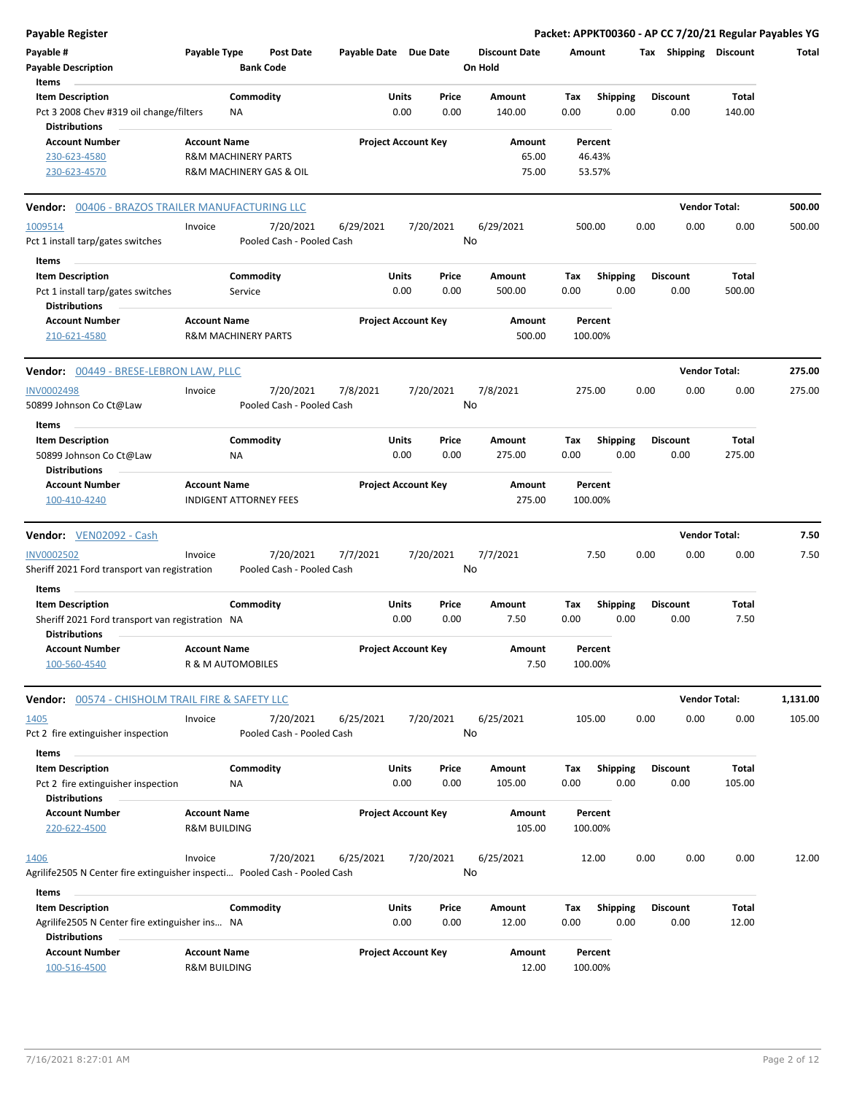| <b>Payable Register</b>                                                                    |                         |                                |                                        |                       |                            |               |                                 |             |                         |      |                         | Packet: APPKT00360 - AP CC 7/20/21 Regular Payables YG |          |
|--------------------------------------------------------------------------------------------|-------------------------|--------------------------------|----------------------------------------|-----------------------|----------------------------|---------------|---------------------------------|-------------|-------------------------|------|-------------------------|--------------------------------------------------------|----------|
| Payable #<br><b>Payable Description</b>                                                    | Payable Type            | <b>Bank Code</b>               | <b>Post Date</b>                       | Payable Date Due Date |                            |               | <b>Discount Date</b><br>On Hold |             | Amount                  |      | Tax Shipping Discount   |                                                        | Total    |
| Items                                                                                      |                         |                                |                                        |                       |                            |               |                                 |             |                         |      |                         |                                                        |          |
| <b>Item Description</b><br>Pct 3 2008 Chev #319 oil change/filters<br><b>Distributions</b> |                         | Commodity<br><b>NA</b>         |                                        |                       | Units<br>0.00              | Price<br>0.00 | Amount<br>140.00                | Tax<br>0.00 | <b>Shipping</b><br>0.00 |      | <b>Discount</b><br>0.00 | Total<br>140.00                                        |          |
| <b>Account Number</b>                                                                      | <b>Account Name</b>     |                                |                                        |                       | <b>Project Account Key</b> |               | Amount                          |             | Percent                 |      |                         |                                                        |          |
| 230-623-4580                                                                               |                         | <b>R&amp;M MACHINERY PARTS</b> |                                        |                       |                            |               | 65.00                           |             | 46.43%                  |      |                         |                                                        |          |
| 230-623-4570                                                                               |                         |                                | R&M MACHINERY GAS & OIL                |                       |                            |               | 75.00                           |             | 53.57%                  |      |                         |                                                        |          |
| <b>Vendor:</b> 00406 - BRAZOS TRAILER MANUFACTURING LLC                                    |                         |                                |                                        |                       |                            |               |                                 |             |                         |      |                         | <b>Vendor Total:</b>                                   | 500.00   |
| 1009514                                                                                    | Invoice                 |                                | 7/20/2021                              | 6/29/2021             |                            | 7/20/2021     | 6/29/2021                       |             | 500.00                  | 0.00 | 0.00                    | 0.00                                                   | 500.00   |
| Pct 1 install tarp/gates switches                                                          |                         |                                | Pooled Cash - Pooled Cash              |                       |                            |               | No                              |             |                         |      |                         |                                                        |          |
| Items                                                                                      |                         |                                |                                        |                       |                            |               |                                 |             |                         |      |                         |                                                        |          |
| <b>Item Description</b>                                                                    |                         | Commodity                      |                                        |                       | Units                      | Price         | Amount                          | Tax         | <b>Shipping</b>         |      | <b>Discount</b>         | Total                                                  |          |
| Pct 1 install tarp/gates switches<br><b>Distributions</b>                                  |                         | Service                        |                                        |                       | 0.00                       | 0.00          | 500.00                          | 0.00        | 0.00                    |      | 0.00                    | 500.00                                                 |          |
| <b>Account Number</b><br>210-621-4580                                                      | <b>Account Name</b>     | <b>R&amp;M MACHINERY PARTS</b> |                                        |                       | <b>Project Account Key</b> |               | Amount<br>500.00                |             | Percent<br>100.00%      |      |                         |                                                        |          |
| <b>Vendor:</b> 00449 - BRESE-LEBRON LAW, PLLC                                              |                         |                                |                                        |                       |                            |               |                                 |             |                         |      |                         | <b>Vendor Total:</b>                                   | 275.00   |
| <b>INV0002498</b><br>50899 Johnson Co Ct@Law                                               | Invoice                 |                                | 7/20/2021<br>Pooled Cash - Pooled Cash | 7/8/2021              |                            | 7/20/2021     | 7/8/2021<br>No                  |             | 275.00                  | 0.00 | 0.00                    | 0.00                                                   | 275.00   |
| Items                                                                                      |                         |                                |                                        |                       |                            |               |                                 |             |                         |      |                         |                                                        |          |
| <b>Item Description</b>                                                                    |                         | Commodity                      |                                        |                       | Units                      | Price         | Amount                          | Tax         | <b>Shipping</b>         |      | <b>Discount</b>         | Total                                                  |          |
| 50899 Johnson Co Ct@Law<br><b>Distributions</b>                                            |                         | ΝA                             |                                        |                       | 0.00                       | 0.00          | 275.00                          | 0.00        | 0.00                    |      | 0.00                    | 275.00                                                 |          |
| <b>Account Number</b>                                                                      | <b>Account Name</b>     |                                |                                        |                       | <b>Project Account Key</b> |               | Amount                          |             | Percent                 |      |                         |                                                        |          |
| 100-410-4240                                                                               |                         | <b>INDIGENT ATTORNEY FEES</b>  |                                        |                       |                            |               | 275.00                          |             | 100.00%                 |      |                         |                                                        |          |
| Vendor: VEN02092 - Cash                                                                    |                         |                                |                                        |                       |                            |               |                                 |             |                         |      |                         | <b>Vendor Total:</b>                                   | 7.50     |
| <b>INV0002502</b><br>Sheriff 2021 Ford transport van registration                          | Invoice                 |                                | 7/20/2021<br>Pooled Cash - Pooled Cash | 7/7/2021              |                            | 7/20/2021     | 7/7/2021<br>No                  |             | 7.50                    | 0.00 | 0.00                    | 0.00                                                   | 7.50     |
|                                                                                            |                         |                                |                                        |                       |                            |               |                                 |             |                         |      |                         |                                                        |          |
| Items<br><b>Item Description</b>                                                           |                         | Commodity                      |                                        |                       | Units                      | Price         | Amount                          | Tax         | <b>Shipping</b>         |      | <b>Discount</b>         | Total                                                  |          |
| Sheriff 2021 Ford transport van registration NA<br><b>Distributions</b>                    |                         |                                |                                        |                       | 0.00                       | 0.00          | 7.50                            | 0.00        | 0.00                    |      | 0.00                    | 7.50                                                   |          |
| <b>Account Number</b><br>100-560-4540                                                      | <b>Account Name</b>     | R & M AUTOMOBILES              |                                        |                       | <b>Project Account Key</b> |               | Amount<br>7.50                  |             | Percent<br>100.00%      |      |                         |                                                        |          |
| <b>Vendor:</b> 00574 - CHISHOLM TRAIL FIRE & SAFETY LLC                                    |                         |                                |                                        |                       |                            |               |                                 |             |                         |      |                         | <b>Vendor Total:</b>                                   | 1,131.00 |
| 1405                                                                                       | Invoice                 |                                | 7/20/2021                              | 6/25/2021             |                            | 7/20/2021     | 6/25/2021                       |             | 105.00                  | 0.00 | 0.00                    | 0.00                                                   | 105.00   |
| Pct 2 fire extinguisher inspection                                                         |                         |                                | Pooled Cash - Pooled Cash              |                       |                            |               | No                              |             |                         |      |                         |                                                        |          |
| Items                                                                                      |                         |                                |                                        |                       |                            |               |                                 |             |                         |      |                         |                                                        |          |
| <b>Item Description</b>                                                                    |                         | Commodity                      |                                        |                       | Units                      | Price         | Amount                          | Tax         | <b>Shipping</b>         |      | <b>Discount</b>         | Total                                                  |          |
| Pct 2 fire extinguisher inspection<br><b>Distributions</b>                                 |                         | NA                             |                                        |                       | 0.00                       | 0.00          | 105.00                          | 0.00        | 0.00                    |      | 0.00                    | 105.00                                                 |          |
| <b>Account Number</b>                                                                      | <b>Account Name</b>     |                                |                                        |                       | <b>Project Account Key</b> |               | Amount                          |             | Percent                 |      |                         |                                                        |          |
| 220-622-4500                                                                               | <b>R&amp;M BUILDING</b> |                                |                                        |                       |                            |               | 105.00                          |             | 100.00%                 |      |                         |                                                        |          |
| 1406                                                                                       | Invoice                 |                                | 7/20/2021                              | 6/25/2021             |                            | 7/20/2021     | 6/25/2021                       |             | 12.00                   | 0.00 | 0.00                    | 0.00                                                   | 12.00    |
| Agrilife2505 N Center fire extinguisher inspecti Pooled Cash - Pooled Cash<br>Items        |                         |                                |                                        |                       |                            |               | No                              |             |                         |      |                         |                                                        |          |
| <b>Item Description</b>                                                                    |                         | Commodity                      |                                        |                       | Units                      | Price         | Amount                          | Тах         | <b>Shipping</b>         |      | <b>Discount</b>         | Total                                                  |          |
| Agrilife2505 N Center fire extinguisher ins NA                                             |                         |                                |                                        |                       | 0.00                       | 0.00          | 12.00                           | 0.00        | 0.00                    |      | 0.00                    | 12.00                                                  |          |
| <b>Distributions</b>                                                                       |                         |                                |                                        |                       |                            |               |                                 |             |                         |      |                         |                                                        |          |
| <b>Account Number</b>                                                                      | <b>Account Name</b>     |                                |                                        |                       | <b>Project Account Key</b> |               | Amount                          |             | Percent                 |      |                         |                                                        |          |

100-516-4500 R&M BUILDING 12.00 100.00%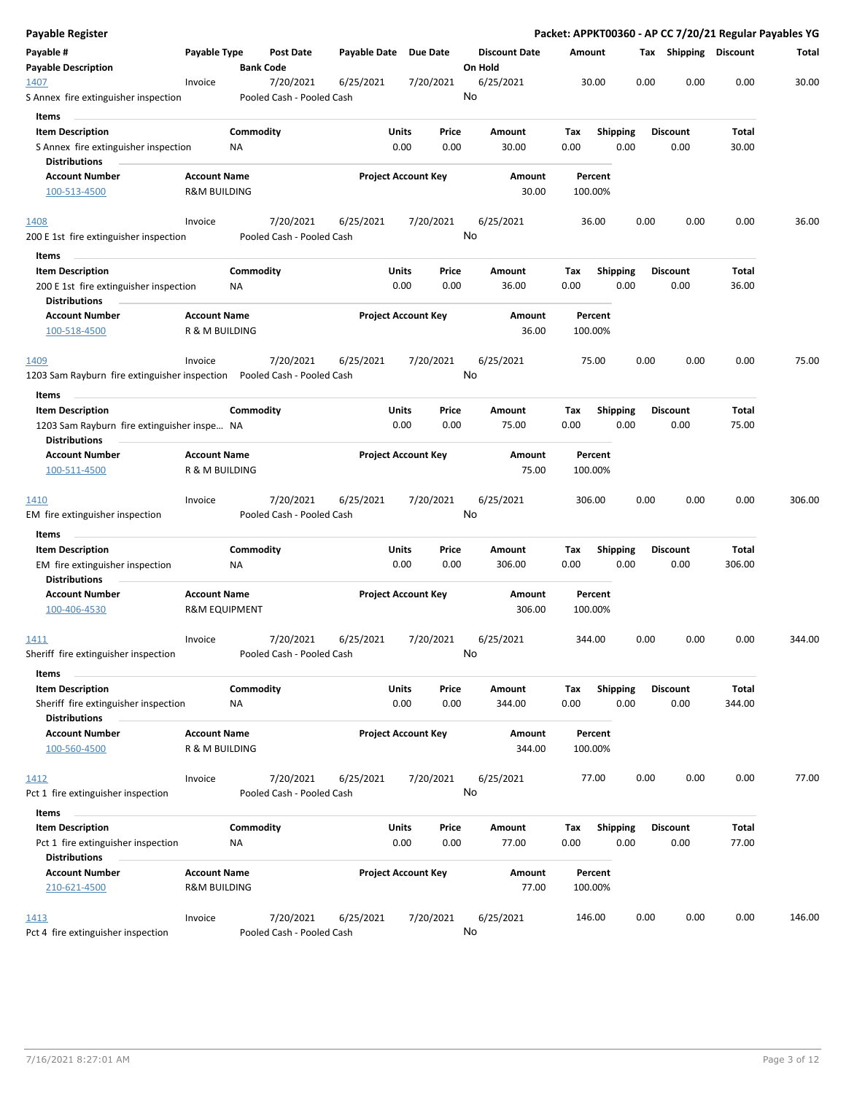| Payable Register                                                           |                                                |                  |                                        |                       |                            |               |                                 |             |                    |                         |      |                         |                 | Packet: APPKT00360 - AP CC 7/20/21 Regular Payables YG |
|----------------------------------------------------------------------------|------------------------------------------------|------------------|----------------------------------------|-----------------------|----------------------------|---------------|---------------------------------|-------------|--------------------|-------------------------|------|-------------------------|-----------------|--------------------------------------------------------|
| Payable #<br><b>Payable Description</b>                                    | Payable Type                                   | <b>Bank Code</b> | Post Date                              | Payable Date Due Date |                            |               | <b>Discount Date</b><br>On Hold | Amount      |                    |                         |      | Tax Shipping Discount   |                 | Total                                                  |
| 1407<br>S Annex fire extinguisher inspection                               | Invoice                                        |                  | 7/20/2021<br>Pooled Cash - Pooled Cash | 6/25/2021             |                            | 7/20/2021     | 6/25/2021<br>No                 |             | 30.00              |                         | 0.00 | 0.00                    | 0.00            | 30.00                                                  |
| Items                                                                      |                                                |                  |                                        |                       |                            |               |                                 |             |                    |                         |      |                         |                 |                                                        |
| <b>Item Description</b>                                                    |                                                | Commodity        |                                        |                       | Units                      | Price         | Amount                          | Tax         |                    | <b>Shipping</b>         |      | <b>Discount</b>         | Total           |                                                        |
| S Annex fire extinguisher inspection<br><b>Distributions</b>               |                                                | ΝA               |                                        |                       | 0.00                       | 0.00          | 30.00                           | 0.00        |                    | 0.00                    |      | 0.00                    | 30.00           |                                                        |
| <b>Account Number</b>                                                      | <b>Account Name</b>                            |                  |                                        |                       | <b>Project Account Key</b> |               | Amount                          |             | Percent            |                         |      |                         |                 |                                                        |
| 100-513-4500                                                               | <b>R&amp;M BUILDING</b>                        |                  |                                        |                       |                            |               | 30.00                           |             | 100.00%            |                         |      |                         |                 |                                                        |
| <u> 1408 </u>                                                              | Invoice                                        |                  | 7/20/2021                              | 6/25/2021             |                            | 7/20/2021     | 6/25/2021                       |             | 36.00              |                         | 0.00 | 0.00                    | 0.00            | 36.00                                                  |
| 200 E 1st fire extinguisher inspection                                     |                                                |                  | Pooled Cash - Pooled Cash              |                       |                            |               | No                              |             |                    |                         |      |                         |                 |                                                        |
| Items                                                                      |                                                |                  |                                        |                       |                            |               |                                 |             |                    |                         |      |                         |                 |                                                        |
| <b>Item Description</b><br>200 E 1st fire extinguisher inspection          |                                                | Commodity<br>ΝA  |                                        |                       | Units<br>0.00              | Price<br>0.00 | Amount<br>36.00                 | Tax<br>0.00 |                    | <b>Shipping</b><br>0.00 |      | <b>Discount</b><br>0.00 | Total<br>36.00  |                                                        |
| <b>Distributions</b>                                                       |                                                |                  |                                        |                       |                            |               |                                 |             |                    |                         |      |                         |                 |                                                        |
| <b>Account Number</b><br>100-518-4500                                      | <b>Account Name</b><br>R & M BUILDING          |                  |                                        |                       | <b>Project Account Key</b> |               | Amount<br>36.00                 |             | Percent<br>100.00% |                         |      |                         |                 |                                                        |
| 1409                                                                       | Invoice                                        |                  | 7/20/2021                              | 6/25/2021             |                            | 7/20/2021     | 6/25/2021                       |             | 75.00              |                         | 0.00 | 0.00                    | 0.00            | 75.00                                                  |
| 1203 Sam Rayburn fire extinguisher inspection    Pooled Cash - Pooled Cash |                                                |                  |                                        |                       |                            |               | No                              |             |                    |                         |      |                         |                 |                                                        |
| Items                                                                      |                                                |                  |                                        |                       |                            |               |                                 |             |                    |                         |      |                         |                 |                                                        |
| <b>Item Description</b>                                                    |                                                | Commodity        |                                        |                       | Units                      | Price         | Amount                          | Tax         |                    | <b>Shipping</b>         |      | <b>Discount</b>         | Total           |                                                        |
| 1203 Sam Rayburn fire extinguisher inspe NA<br><b>Distributions</b>        |                                                |                  |                                        |                       | 0.00                       | 0.00          | 75.00                           | 0.00        |                    | 0.00                    |      | 0.00                    | 75.00           |                                                        |
| <b>Account Number</b>                                                      | <b>Account Name</b>                            |                  |                                        |                       | <b>Project Account Key</b> |               | Amount                          |             | Percent            |                         |      |                         |                 |                                                        |
| 100-511-4500                                                               | R & M BUILDING                                 |                  |                                        |                       |                            |               | 75.00                           |             | 100.00%            |                         |      |                         |                 |                                                        |
| <u> 1410</u><br>EM fire extinguisher inspection                            | Invoice                                        |                  | 7/20/2021<br>Pooled Cash - Pooled Cash | 6/25/2021             |                            | 7/20/2021     | 6/25/2021<br>No                 |             | 306.00             |                         | 0.00 | 0.00                    | 0.00            | 306.00                                                 |
| Items                                                                      |                                                |                  |                                        |                       |                            |               |                                 |             |                    |                         |      |                         |                 |                                                        |
| <b>Item Description</b>                                                    |                                                | Commodity        |                                        |                       | Units                      | Price         | Amount                          | Tax         |                    | <b>Shipping</b>         |      | <b>Discount</b>         | Total           |                                                        |
| EM fire extinguisher inspection<br><b>Distributions</b>                    |                                                | ΝA               |                                        |                       | 0.00                       | 0.00          | 306.00                          | 0.00        |                    | 0.00                    |      | 0.00                    | 306.00          |                                                        |
| <b>Account Number</b>                                                      | <b>Account Name</b>                            |                  |                                        |                       | <b>Project Account Key</b> |               | Amount                          |             | Percent            |                         |      |                         |                 |                                                        |
| 100-406-4530                                                               | <b>R&amp;M EQUIPMENT</b>                       |                  |                                        |                       |                            |               | 306.00                          |             | 100.00%            |                         |      |                         |                 |                                                        |
| <u> 1411 </u>                                                              | Invoice                                        |                  | 7/20/2021                              | 6/25/2021             |                            | 7/20/2021     | 6/25/2021                       |             | 344.00             |                         | 0.00 | 0.00                    | 0.00            | 344.00                                                 |
| Sheriff fire extinguisher inspection                                       |                                                |                  | Pooled Cash - Pooled Cash              |                       |                            |               | No                              |             |                    |                         |      |                         |                 |                                                        |
| Items                                                                      |                                                |                  |                                        |                       |                            |               |                                 |             |                    |                         |      |                         |                 |                                                        |
| <b>Item Description</b><br>Sheriff fire extinguisher inspection            |                                                | Commodity<br>NA  |                                        |                       | Units<br>0.00              | Price<br>0.00 | Amount<br>344.00                | Tax<br>0.00 |                    | Shipping<br>0.00        |      | <b>Discount</b><br>0.00 | Total<br>344.00 |                                                        |
| <b>Distributions</b>                                                       |                                                |                  |                                        |                       |                            |               |                                 |             |                    |                         |      |                         |                 |                                                        |
| <b>Account Number</b>                                                      | <b>Account Name</b>                            |                  |                                        |                       | <b>Project Account Key</b> |               | Amount                          |             | Percent            |                         |      |                         |                 |                                                        |
| 100-560-4500                                                               | R & M BUILDING                                 |                  |                                        |                       |                            |               | 344.00                          |             | 100.00%            |                         |      |                         |                 |                                                        |
| 1412                                                                       | Invoice                                        |                  | 7/20/2021                              | 6/25/2021             |                            | 7/20/2021     | 6/25/2021                       |             | 77.00              |                         | 0.00 | 0.00                    | 0.00            | 77.00                                                  |
| Pct 1 fire extinguisher inspection                                         |                                                |                  | Pooled Cash - Pooled Cash              |                       |                            |               | No                              |             |                    |                         |      |                         |                 |                                                        |
| Items                                                                      |                                                |                  |                                        |                       |                            |               |                                 |             |                    |                         |      |                         |                 |                                                        |
| <b>Item Description</b>                                                    |                                                | Commodity        |                                        |                       | Units                      | Price         | Amount                          | Tax         |                    | <b>Shipping</b>         |      | <b>Discount</b>         | Total           |                                                        |
| Pct 1 fire extinguisher inspection                                         |                                                | ΝA               |                                        |                       | 0.00                       | 0.00          | 77.00                           | 0.00        |                    | 0.00                    |      | 0.00                    | 77.00           |                                                        |
| <b>Distributions</b>                                                       |                                                |                  |                                        |                       |                            |               |                                 |             |                    |                         |      |                         |                 |                                                        |
| <b>Account Number</b><br>210-621-4500                                      | <b>Account Name</b><br><b>R&amp;M BUILDING</b> |                  |                                        |                       | <b>Project Account Key</b> |               | Amount<br>77.00                 |             | Percent<br>100.00% |                         |      |                         |                 |                                                        |
|                                                                            |                                                |                  |                                        |                       |                            |               |                                 |             |                    |                         |      |                         |                 |                                                        |
| <u> 1413 </u><br>Pct 4 fire extinguisher inspection                        | Invoice                                        |                  | 7/20/2021<br>Pooled Cash - Pooled Cash | 6/25/2021             |                            | 7/20/2021     | 6/25/2021<br>No                 |             | 146.00             |                         | 0.00 | 0.00                    | 0.00            | 146.00                                                 |
|                                                                            |                                                |                  |                                        |                       |                            |               |                                 |             |                    |                         |      |                         |                 |                                                        |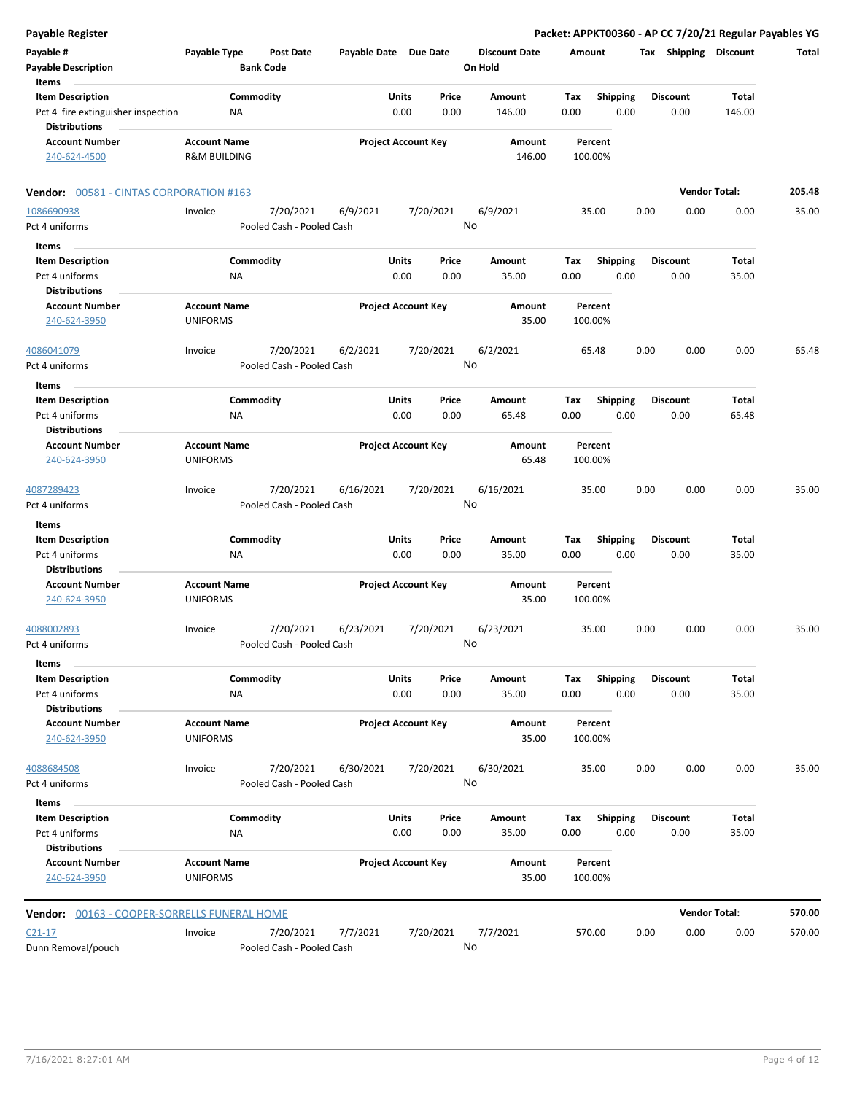**Payable # Payable Type Post Date Payable Date Due Date Payable Description Bank Code Discount Date Amount Tax Shipping Discount Total On Hold** 0.00 0.00 **Units** Pct 4 fire extinguisher inspection  $NA$  0.00 0.00 146.00 0.00 **Item Description** 146.00 **Price Amount Tax** 0.00 146.00 Commodity **Shipping Shipping Commodity Shipping Discount** Total NA **Items** 0.00 **Discount Account Number Account Name Project Account Key Amount Distributions Percent** 240-624-4500 R&M BUILDING 146.00 100.00% **Vendor:** 00581 - CINTAS CORPORATION #163 **Vendor Total: 205.48** 7/20/2021 6/9/2021 7/20/2021 Pct 4 uniforms **Pooled Cash - Pooled Cash** 1086690938 Invoice 6/9/2021 35.00 0.00 0.00 0.00 35.00 No 0.00 0.00 **Units** Pct 4 uniforms 0.00 **Item Description** 35.00 **Price Amount Tax** 0.00 35.00 Commodity **Shipping Shipping Commodity Shipping Discount** Total NA **Items** 0.00 **Discount Account Number Account Name Project Account Key Amount Distributions Percent** 240-624-3950 UNIFORMS 35.00 100.00% 7/20/2021 6/2/2021 7/20/2021 Pct 4 uniforms **Pooled Cash - Pooled Cash** 4086041079 Invoice 6/2/2021 65.48 0.00 0.00 0.00 65.48 No 0.00 0.00 **Units** Pct 4 uniforms 65.48 (0.00  $\overline{0.00}$  0.00  $\overline{0.00}$  0.5.48 (0.00  $\overline{0.00}$  0.00  $\overline{0.00}$  0.00  $\overline{0.00}$  0.00  $\overline{0.00}$  0.00  $\overline{0.00}$  0.00  $\overline{0.00}$  0.00  $\overline{0.00}$  0.00  $\overline{0.00}$  0.00  $\overline{0.00}$  0.00 **Item Description** 65.48 **Price Amount Tax** 0.00 65.48 Commodity **Shipping Example 1 Commodity Shipping Discount** Total NA **Items** 0.00 **Discount Account Number Account Name Project Account Key Amount Distributions Percent** 240-624-3950 UNIFORMS 65.48 100.00% 7/20/2021 6/16/2021 7/20/2021 Pct 4 uniforms **Property** Pooled Cash - Pooled Cash 4087289423 Invoice 6/16/2021 35.00 0.00 0.00 0.00 35.00 No 0.00 0.00 **Units** Pct 4 uniforms 0.00 **Item Description** 35.00 **Price Amount Tax** 0.00 35.00 Commodity **Shipping Example 1 Commodity Shipping Discount** Total NA **Items** 0.00 **Discount Account Number Account Name Project Account Key Amount Distributions Percent** 240-624-3950 UNIFORMS 35.00 100.00% 7/20/2021 6/23/2021 7/20/2021 Pct 4 uniforms **Pooled Cash - Pooled Cash** 4088002893 Invoice 6/23/2021 35.00 0.00 0.00 0.00 35.00 No 0.00 0.00 **Units** Pct 4 uniforms 0.00 **Item Description** 35.00 **Price Amount Tax** 0.00 35.00 Commodity **Shipping Example 1 Commodity Shipping Discount** Total NA **Items** 0.00 **Discount Account Number Account Name Project Account Key Amount Distributions Percent** 240-624-3950 UNIFORMS 35.00 100.00% 7/20/2021 6/30/2021 7/20/2021 Pct 4 uniforms **Pooled Cash - Pooled Cash** 4088684508 Invoice 6/30/2021 35.00 0.00 0.00 0.00 35.00 No 0.00 0.00 **Units** Pct 4 uniforms 0.00 **Item Description** 35.00 **Price Amount Tax** 0.00 35.00 Commodity **Shipping Shipping Commodity Shipping Discount** Total NA **Items** 0.00 **Discount Account Number Account Name Project Account Key Amount Distributions Percent** 240-624-3950 UNIFORMS 35.00 100.00% **Vendor:** 00163 - COOPER-SORRELLS FUNERAL HOME **Vendor Total: 570.00** 7/20/2021 7/7/2021 7/20/2021 Dunn Removal/pouch **Pooled Cash - Pooled Cash** C21-17 Invoice 7/7/2021 570.00 0.00 0.00 0.00 570.00 No

**Payable Register Packet: APPKT00360 - AP CC 7/20/21 Regular Payables YG**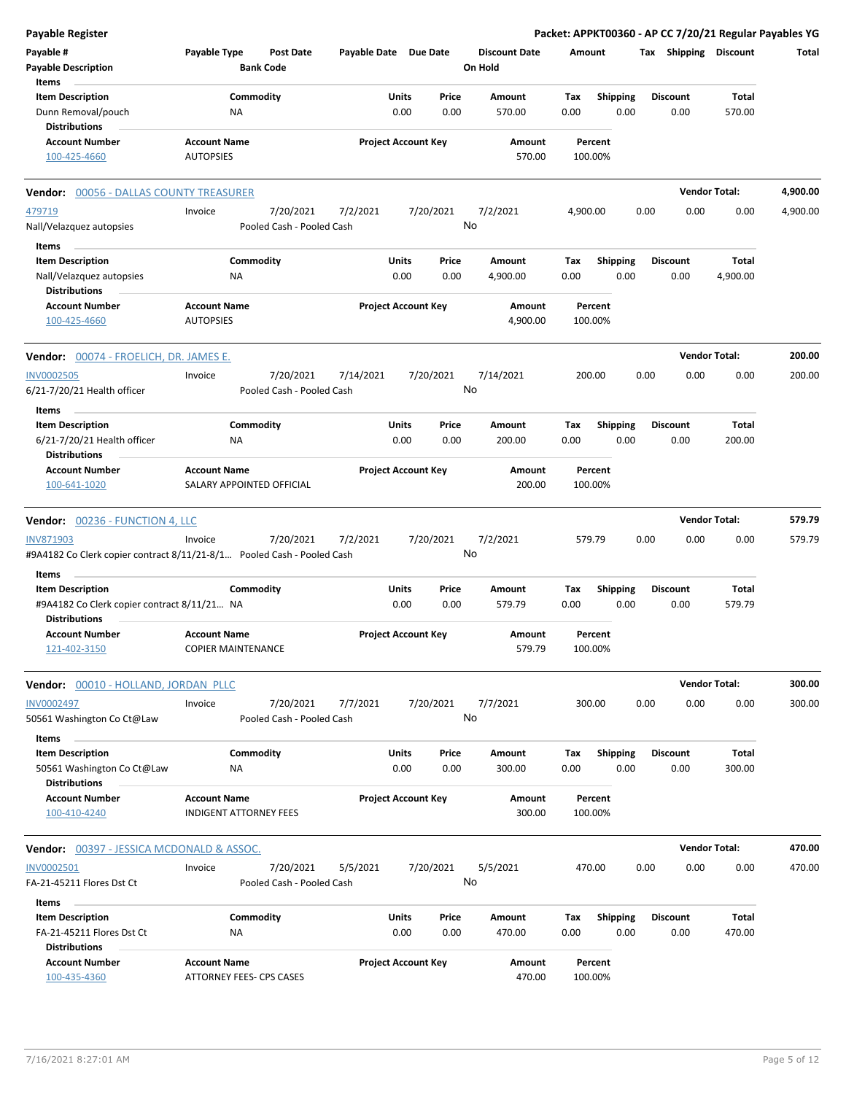| Payable #<br>Payable Type<br><b>Post Date</b><br>Payable Date Due Date<br><b>Discount Date</b><br>Amount<br>Tax Shipping Discount<br><b>Bank Code</b><br>On Hold<br><b>Payable Description</b><br><b>Items</b><br><b>Item Description</b><br>Commodity<br>Units<br>Price<br>Shipping<br>Total<br>Amount<br>Tax<br><b>Discount</b><br>Dunn Removal/pouch<br>0.00<br>0.00<br>0.00<br>0.00<br>0.00<br>570.00<br>ΝA<br>570.00<br><b>Distributions</b><br><b>Account Name</b><br><b>Project Account Key</b><br><b>Account Number</b><br>Amount<br>Percent<br>100-425-4660<br><b>AUTOPSIES</b><br>570.00<br>100.00%<br><b>Vendor Total:</b><br><b>Vendor: 00056 - DALLAS COUNTY TREASURER</b><br>7/20/2021<br>7/2/2021<br>7/20/2021<br>7/2/2021<br>0.00<br>0.00<br>479719<br>Invoice<br>4,900.00<br>0.00<br>No<br>Nall/Velazquez autopsies<br>Pooled Cash - Pooled Cash<br>Items<br>Commodity<br><b>Item Description</b><br>Units<br>Price<br>Amount<br>Tax<br><b>Shipping</b><br><b>Discount</b><br>Total<br>Nall/Velazquez autopsies<br>0.00<br>0.00<br>4,900.00<br>0.00<br>0.00<br>0.00<br>4,900.00<br>ΝA<br><b>Distributions</b><br><b>Project Account Key</b><br><b>Account Number</b><br><b>Account Name</b><br>Amount<br>Percent<br>100-425-4660<br><b>AUTOPSIES</b><br>4,900.00<br>100.00% | Total<br>4,900.00<br>4,900.00<br>200.00<br>200.00 |
|----------------------------------------------------------------------------------------------------------------------------------------------------------------------------------------------------------------------------------------------------------------------------------------------------------------------------------------------------------------------------------------------------------------------------------------------------------------------------------------------------------------------------------------------------------------------------------------------------------------------------------------------------------------------------------------------------------------------------------------------------------------------------------------------------------------------------------------------------------------------------------------------------------------------------------------------------------------------------------------------------------------------------------------------------------------------------------------------------------------------------------------------------------------------------------------------------------------------------------------------------------------------------------------------|---------------------------------------------------|
|                                                                                                                                                                                                                                                                                                                                                                                                                                                                                                                                                                                                                                                                                                                                                                                                                                                                                                                                                                                                                                                                                                                                                                                                                                                                                              |                                                   |
|                                                                                                                                                                                                                                                                                                                                                                                                                                                                                                                                                                                                                                                                                                                                                                                                                                                                                                                                                                                                                                                                                                                                                                                                                                                                                              |                                                   |
|                                                                                                                                                                                                                                                                                                                                                                                                                                                                                                                                                                                                                                                                                                                                                                                                                                                                                                                                                                                                                                                                                                                                                                                                                                                                                              |                                                   |
|                                                                                                                                                                                                                                                                                                                                                                                                                                                                                                                                                                                                                                                                                                                                                                                                                                                                                                                                                                                                                                                                                                                                                                                                                                                                                              |                                                   |
|                                                                                                                                                                                                                                                                                                                                                                                                                                                                                                                                                                                                                                                                                                                                                                                                                                                                                                                                                                                                                                                                                                                                                                                                                                                                                              |                                                   |
|                                                                                                                                                                                                                                                                                                                                                                                                                                                                                                                                                                                                                                                                                                                                                                                                                                                                                                                                                                                                                                                                                                                                                                                                                                                                                              |                                                   |
|                                                                                                                                                                                                                                                                                                                                                                                                                                                                                                                                                                                                                                                                                                                                                                                                                                                                                                                                                                                                                                                                                                                                                                                                                                                                                              |                                                   |
|                                                                                                                                                                                                                                                                                                                                                                                                                                                                                                                                                                                                                                                                                                                                                                                                                                                                                                                                                                                                                                                                                                                                                                                                                                                                                              |                                                   |
|                                                                                                                                                                                                                                                                                                                                                                                                                                                                                                                                                                                                                                                                                                                                                                                                                                                                                                                                                                                                                                                                                                                                                                                                                                                                                              |                                                   |
|                                                                                                                                                                                                                                                                                                                                                                                                                                                                                                                                                                                                                                                                                                                                                                                                                                                                                                                                                                                                                                                                                                                                                                                                                                                                                              |                                                   |
|                                                                                                                                                                                                                                                                                                                                                                                                                                                                                                                                                                                                                                                                                                                                                                                                                                                                                                                                                                                                                                                                                                                                                                                                                                                                                              |                                                   |
|                                                                                                                                                                                                                                                                                                                                                                                                                                                                                                                                                                                                                                                                                                                                                                                                                                                                                                                                                                                                                                                                                                                                                                                                                                                                                              |                                                   |
|                                                                                                                                                                                                                                                                                                                                                                                                                                                                                                                                                                                                                                                                                                                                                                                                                                                                                                                                                                                                                                                                                                                                                                                                                                                                                              |                                                   |
|                                                                                                                                                                                                                                                                                                                                                                                                                                                                                                                                                                                                                                                                                                                                                                                                                                                                                                                                                                                                                                                                                                                                                                                                                                                                                              |                                                   |
| <b>Vendor Total:</b><br>Vendor: 00074 - FROELICH, DR. JAMES E.                                                                                                                                                                                                                                                                                                                                                                                                                                                                                                                                                                                                                                                                                                                                                                                                                                                                                                                                                                                                                                                                                                                                                                                                                               |                                                   |
| 7/20/2021<br>7/14/2021<br>7/20/2021<br>7/14/2021<br>200.00<br>0.00<br>0.00<br>0.00<br><b>INV0002505</b><br>Invoice                                                                                                                                                                                                                                                                                                                                                                                                                                                                                                                                                                                                                                                                                                                                                                                                                                                                                                                                                                                                                                                                                                                                                                           |                                                   |
| No<br>6/21-7/20/21 Health officer<br>Pooled Cash - Pooled Cash                                                                                                                                                                                                                                                                                                                                                                                                                                                                                                                                                                                                                                                                                                                                                                                                                                                                                                                                                                                                                                                                                                                                                                                                                               |                                                   |
| Items                                                                                                                                                                                                                                                                                                                                                                                                                                                                                                                                                                                                                                                                                                                                                                                                                                                                                                                                                                                                                                                                                                                                                                                                                                                                                        |                                                   |
| Commodity<br><b>Item Description</b><br>Units<br>Price<br>Amount<br>Tax<br><b>Shipping</b><br><b>Discount</b><br>Total                                                                                                                                                                                                                                                                                                                                                                                                                                                                                                                                                                                                                                                                                                                                                                                                                                                                                                                                                                                                                                                                                                                                                                       |                                                   |
| 0.00<br>6/21-7/20/21 Health officer<br>0.00<br>0.00<br>200.00<br>0.00<br>0.00<br>200.00<br>ΝA<br><b>Distributions</b>                                                                                                                                                                                                                                                                                                                                                                                                                                                                                                                                                                                                                                                                                                                                                                                                                                                                                                                                                                                                                                                                                                                                                                        |                                                   |
| <b>Project Account Key</b><br><b>Account Number</b><br><b>Account Name</b><br>Amount<br>Percent                                                                                                                                                                                                                                                                                                                                                                                                                                                                                                                                                                                                                                                                                                                                                                                                                                                                                                                                                                                                                                                                                                                                                                                              |                                                   |
| 100-641-1020<br>SALARY APPOINTED OFFICIAL<br>200.00<br>100.00%                                                                                                                                                                                                                                                                                                                                                                                                                                                                                                                                                                                                                                                                                                                                                                                                                                                                                                                                                                                                                                                                                                                                                                                                                               |                                                   |
| <b>Vendor Total:</b><br>Vendor: 00236 - FUNCTION 4, LLC                                                                                                                                                                                                                                                                                                                                                                                                                                                                                                                                                                                                                                                                                                                                                                                                                                                                                                                                                                                                                                                                                                                                                                                                                                      | 579.79                                            |
| 7/20/2021<br>7/2/2021<br><b>INV871903</b><br>Invoice<br>7/20/2021<br>7/2/2021<br>579.79<br>0.00<br>0.00<br>0.00<br>No<br>#9A4182 Co Clerk copier contract 8/11/21-8/1 Pooled Cash - Pooled Cash                                                                                                                                                                                                                                                                                                                                                                                                                                                                                                                                                                                                                                                                                                                                                                                                                                                                                                                                                                                                                                                                                              | 579.79                                            |
| Items                                                                                                                                                                                                                                                                                                                                                                                                                                                                                                                                                                                                                                                                                                                                                                                                                                                                                                                                                                                                                                                                                                                                                                                                                                                                                        |                                                   |
| Commodity<br>Units<br>Tax<br>Total<br><b>Item Description</b><br>Price<br>Amount<br><b>Shipping</b><br>Discount                                                                                                                                                                                                                                                                                                                                                                                                                                                                                                                                                                                                                                                                                                                                                                                                                                                                                                                                                                                                                                                                                                                                                                              |                                                   |
| 0.00<br>0.00<br>0.00<br>579.79<br>0.00<br>0.00<br>579.79<br>#9A4182 Co Clerk copier contract 8/11/21 NA<br><b>Distributions</b>                                                                                                                                                                                                                                                                                                                                                                                                                                                                                                                                                                                                                                                                                                                                                                                                                                                                                                                                                                                                                                                                                                                                                              |                                                   |
| <b>Project Account Key</b><br><b>Account Number</b><br><b>Account Name</b><br>Amount<br>Percent<br>579.79<br>100.00%<br>121-402-3150<br><b>COPIER MAINTENANCE</b>                                                                                                                                                                                                                                                                                                                                                                                                                                                                                                                                                                                                                                                                                                                                                                                                                                                                                                                                                                                                                                                                                                                            |                                                   |
| <b>Vendor Total:</b><br>Vendor: 00010 - HOLLAND, JORDAN PLLC                                                                                                                                                                                                                                                                                                                                                                                                                                                                                                                                                                                                                                                                                                                                                                                                                                                                                                                                                                                                                                                                                                                                                                                                                                 | 300.00                                            |
| 7/20/2021<br>7/7/2021<br>7/20/2021<br>7/7/2021<br>300.00<br>0.00<br>0.00<br>0.00<br><b>INV0002497</b><br>Invoice                                                                                                                                                                                                                                                                                                                                                                                                                                                                                                                                                                                                                                                                                                                                                                                                                                                                                                                                                                                                                                                                                                                                                                             | 300.00                                            |
| No<br>50561 Washington Co Ct@Law<br>Pooled Cash - Pooled Cash                                                                                                                                                                                                                                                                                                                                                                                                                                                                                                                                                                                                                                                                                                                                                                                                                                                                                                                                                                                                                                                                                                                                                                                                                                |                                                   |
| Items<br><b>Item Description</b><br>Commodity<br>Units<br>Amount<br>Shipping<br><b>Discount</b><br>Total<br>Price<br>Tax                                                                                                                                                                                                                                                                                                                                                                                                                                                                                                                                                                                                                                                                                                                                                                                                                                                                                                                                                                                                                                                                                                                                                                     |                                                   |
| 0.00<br>0.00<br>0.00<br>0.00<br>0.00<br>300.00<br>50561 Washington Co Ct@Law<br>NA<br>300.00<br><b>Distributions</b>                                                                                                                                                                                                                                                                                                                                                                                                                                                                                                                                                                                                                                                                                                                                                                                                                                                                                                                                                                                                                                                                                                                                                                         |                                                   |
| <b>Account Number</b><br><b>Account Name</b><br><b>Project Account Key</b><br>Amount<br>Percent                                                                                                                                                                                                                                                                                                                                                                                                                                                                                                                                                                                                                                                                                                                                                                                                                                                                                                                                                                                                                                                                                                                                                                                              |                                                   |
| <b>INDIGENT ATTORNEY FEES</b><br>300.00<br>100.00%<br>100-410-4240                                                                                                                                                                                                                                                                                                                                                                                                                                                                                                                                                                                                                                                                                                                                                                                                                                                                                                                                                                                                                                                                                                                                                                                                                           |                                                   |
| <b>Vendor Total:</b><br><b>Vendor: 00397 - JESSICA MCDONALD &amp; ASSOC.</b>                                                                                                                                                                                                                                                                                                                                                                                                                                                                                                                                                                                                                                                                                                                                                                                                                                                                                                                                                                                                                                                                                                                                                                                                                 | 470.00                                            |
| INV0002501<br>7/20/2021<br>5/5/2021<br>7/20/2021<br>5/5/2021<br>470.00<br>0.00<br>0.00<br>0.00<br>Invoice<br>No<br>Pooled Cash - Pooled Cash<br>FA-21-45211 Flores Dst Ct                                                                                                                                                                                                                                                                                                                                                                                                                                                                                                                                                                                                                                                                                                                                                                                                                                                                                                                                                                                                                                                                                                                    | 470.00                                            |
|                                                                                                                                                                                                                                                                                                                                                                                                                                                                                                                                                                                                                                                                                                                                                                                                                                                                                                                                                                                                                                                                                                                                                                                                                                                                                              |                                                   |
| Items<br><b>Item Description</b><br>Commodity<br>Units<br>Price<br>Total                                                                                                                                                                                                                                                                                                                                                                                                                                                                                                                                                                                                                                                                                                                                                                                                                                                                                                                                                                                                                                                                                                                                                                                                                     |                                                   |
| <b>Shipping</b><br>Amount<br>Tax<br>Discount<br>0.00<br>0.00<br>0.00<br>0.00<br>0.00<br>470.00<br>FA-21-45211 Flores Dst Ct<br>ΝA<br>470.00                                                                                                                                                                                                                                                                                                                                                                                                                                                                                                                                                                                                                                                                                                                                                                                                                                                                                                                                                                                                                                                                                                                                                  |                                                   |
| <b>Distributions</b>                                                                                                                                                                                                                                                                                                                                                                                                                                                                                                                                                                                                                                                                                                                                                                                                                                                                                                                                                                                                                                                                                                                                                                                                                                                                         |                                                   |
| <b>Account Number</b><br><b>Account Name</b><br><b>Project Account Key</b><br>Amount<br>Percent<br>100-435-4360<br>ATTORNEY FEES- CPS CASES<br>470.00<br>100.00%                                                                                                                                                                                                                                                                                                                                                                                                                                                                                                                                                                                                                                                                                                                                                                                                                                                                                                                                                                                                                                                                                                                             |                                                   |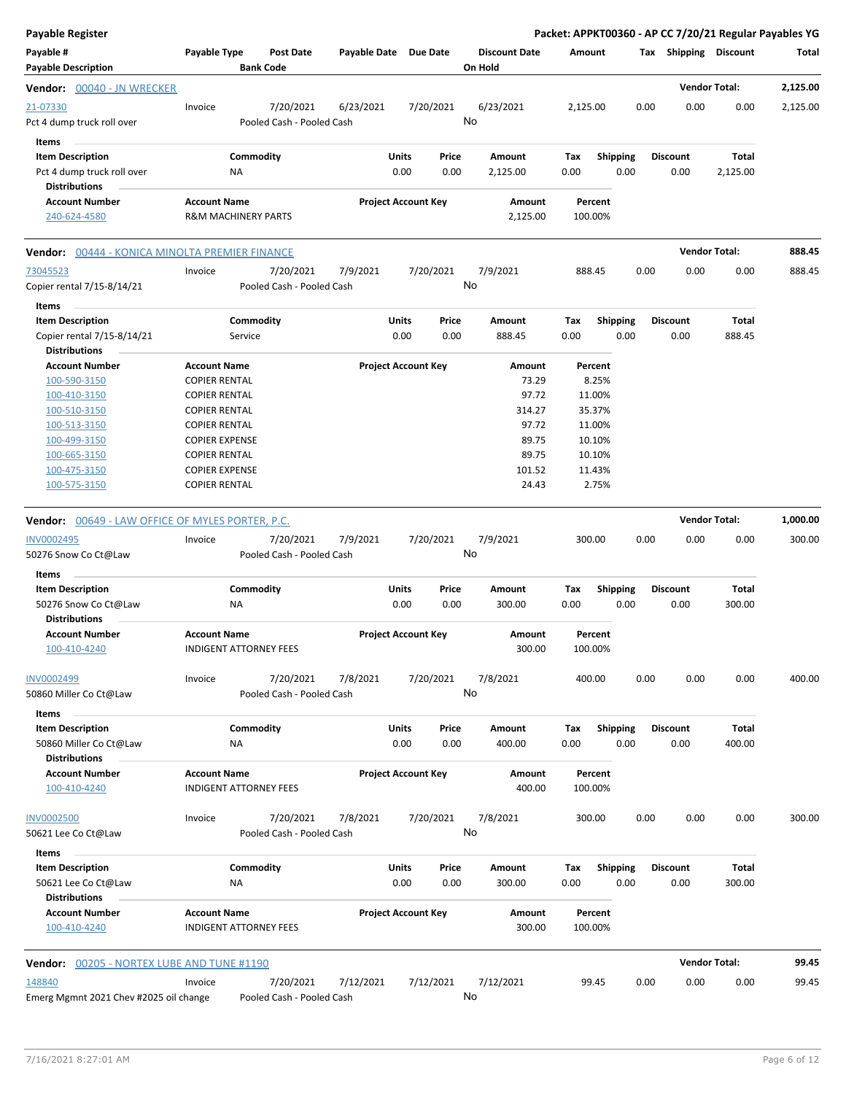| <b>Payable Register</b>                                                       |                                               |                      |                                        |                       |                            |               |                                 |             |                    |                         |      |                         | Packet: APPKT00360 - AP CC 7/20/21 Regular Payables YG |          |
|-------------------------------------------------------------------------------|-----------------------------------------------|----------------------|----------------------------------------|-----------------------|----------------------------|---------------|---------------------------------|-------------|--------------------|-------------------------|------|-------------------------|--------------------------------------------------------|----------|
| Payable #<br><b>Payable Description</b>                                       | Payable Type                                  | <b>Bank Code</b>     | <b>Post Date</b>                       | Payable Date Due Date |                            |               | <b>Discount Date</b><br>On Hold |             | Amount             |                         |      |                         | Tax Shipping Discount                                  | Total    |
| <b>Vendor: 00040 - JN WRECKER</b>                                             |                                               |                      |                                        |                       |                            |               |                                 |             |                    |                         |      |                         | <b>Vendor Total:</b>                                   | 2,125.00 |
| 21-07330<br>Pct 4 dump truck roll over                                        | Invoice                                       |                      | 7/20/2021<br>Pooled Cash - Pooled Cash | 6/23/2021             |                            | 7/20/2021     | 6/23/2021<br>No                 |             | 2,125.00           |                         | 0.00 | 0.00                    | 0.00                                                   | 2,125.00 |
| Items                                                                         |                                               |                      |                                        |                       |                            |               |                                 |             |                    |                         |      |                         |                                                        |          |
| <b>Item Description</b><br>Pct 4 dump truck roll over<br><b>Distributions</b> |                                               | Commodity<br>NA      |                                        |                       | <b>Units</b><br>0.00       | Price<br>0.00 | Amount<br>2,125.00              | Tax<br>0.00 |                    | <b>Shipping</b><br>0.00 |      | <b>Discount</b><br>0.00 | Total<br>2,125.00                                      |          |
| <b>Account Number</b><br>240-624-4580                                         | <b>Account Name</b><br>R&M MACHINERY PARTS    |                      |                                        |                       | <b>Project Account Key</b> |               | Amount<br>2,125.00              |             | Percent<br>100.00% |                         |      |                         |                                                        |          |
| Vendor: 00444 - KONICA MINOLTA PREMIER FINANCE                                |                                               |                      |                                        |                       |                            |               |                                 |             |                    |                         |      |                         | <b>Vendor Total:</b>                                   | 888.45   |
| 73045523<br>Copier rental 7/15-8/14/21                                        | Invoice                                       |                      | 7/20/2021<br>Pooled Cash - Pooled Cash | 7/9/2021              |                            | 7/20/2021     | 7/9/2021<br>No                  |             | 888.45             |                         | 0.00 | 0.00                    | 0.00                                                   | 888.45   |
| Items                                                                         |                                               |                      |                                        |                       |                            |               |                                 |             |                    |                         |      |                         |                                                        |          |
| <b>Item Description</b><br>Copier rental 7/15-8/14/21<br><b>Distributions</b> |                                               | Commodity<br>Service |                                        |                       | <b>Units</b><br>0.00       | Price<br>0.00 | Amount<br>888.45                | Tax<br>0.00 |                    | <b>Shipping</b><br>0.00 |      | <b>Discount</b><br>0.00 | Total<br>888.45                                        |          |
| <b>Account Number</b>                                                         | <b>Account Name</b>                           |                      |                                        |                       | <b>Project Account Key</b> |               | Amount                          |             | Percent            |                         |      |                         |                                                        |          |
| 100-590-3150                                                                  | <b>COPIER RENTAL</b>                          |                      |                                        |                       |                            |               | 73.29                           |             | 8.25%              |                         |      |                         |                                                        |          |
| 100-410-3150                                                                  | <b>COPIER RENTAL</b>                          |                      |                                        |                       |                            |               | 97.72                           |             | 11.00%             |                         |      |                         |                                                        |          |
| 100-510-3150                                                                  | <b>COPIER RENTAL</b>                          |                      |                                        |                       |                            |               | 314.27                          |             | 35.37%             |                         |      |                         |                                                        |          |
| 100-513-3150                                                                  | <b>COPIER RENTAL</b>                          |                      |                                        |                       |                            |               | 97.72                           |             | 11.00%             |                         |      |                         |                                                        |          |
| 100-499-3150                                                                  | <b>COPIER EXPENSE</b>                         |                      |                                        |                       |                            |               | 89.75                           |             | 10.10%             |                         |      |                         |                                                        |          |
| 100-665-3150                                                                  | COPIER RENTAL                                 |                      |                                        |                       |                            |               | 89.75                           |             | 10.10%             |                         |      |                         |                                                        |          |
| 100-475-3150<br>100-575-3150                                                  | <b>COPIER EXPENSE</b><br><b>COPIER RENTAL</b> |                      |                                        |                       |                            |               | 101.52<br>24.43                 |             | 11.43%<br>2.75%    |                         |      |                         |                                                        |          |
|                                                                               |                                               |                      |                                        |                       |                            |               |                                 |             |                    |                         |      |                         |                                                        |          |
| <b>Vendor:</b> 00649 - LAW OFFICE OF MYLES PORTER, P.C.                       |                                               |                      |                                        |                       |                            |               |                                 |             |                    |                         |      |                         | <b>Vendor Total:</b>                                   | 1,000.00 |
| INV0002495                                                                    | Invoice                                       |                      | 7/20/2021                              | 7/9/2021              |                            | 7/20/2021     | 7/9/2021                        |             | 300.00             |                         | 0.00 | 0.00                    | 0.00                                                   | 300.00   |
| 50276 Snow Co Ct@Law                                                          |                                               |                      | Pooled Cash - Pooled Cash              |                       |                            |               | No                              |             |                    |                         |      |                         |                                                        |          |
| Items                                                                         |                                               |                      |                                        |                       |                            |               |                                 |             |                    |                         |      |                         |                                                        |          |
| <b>Item Description</b>                                                       |                                               | Commodity            |                                        |                       | <b>Units</b>               | Price         | Amount                          | Tax         |                    | Shipping                |      | <b>Discount</b>         | Total                                                  |          |
| 50276 Snow Co Ct@Law<br>Distributions                                         |                                               | <b>NA</b>            |                                        |                       | 0.00                       | 0.00          | 300.00                          | 0.00        |                    | 0.00                    |      | 0.00                    | 300.00                                                 |          |
| <b>Account Number</b>                                                         | <b>Account Name</b>                           |                      |                                        |                       | <b>Project Account Key</b> |               | Amount                          |             | Percent            |                         |      |                         |                                                        |          |
| 100-410-4240                                                                  | INDIGENT ATTORNEY FEES                        |                      |                                        |                       |                            |               | 300.00                          |             | 100.00%            |                         |      |                         |                                                        |          |
| INV0002499                                                                    | Invoice                                       |                      | 7/20/2021                              | 7/8/2021              |                            | 7/20/2021     | 7/8/2021                        |             | 400.00             |                         | 0.00 | 0.00                    | 0.00                                                   | 400.00   |
| 50860 Miller Co Ct@Law                                                        |                                               |                      | Pooled Cash - Pooled Cash              |                       |                            |               | No                              |             |                    |                         |      |                         |                                                        |          |
| Items                                                                         |                                               |                      |                                        |                       |                            |               |                                 |             |                    |                         |      |                         |                                                        |          |
| <b>Item Description</b><br>50860 Miller Co Ct@Law<br><b>Distributions</b>     |                                               | Commodity<br>ΝA      |                                        |                       | <b>Units</b><br>0.00       | Price<br>0.00 | Amount<br>400.00                | Tax<br>0.00 |                    | <b>Shipping</b><br>0.00 |      | <b>Discount</b><br>0.00 | Total<br>400.00                                        |          |
| <b>Account Number</b>                                                         | <b>Account Name</b>                           |                      |                                        |                       | <b>Project Account Key</b> |               | Amount                          |             | Percent            |                         |      |                         |                                                        |          |
| 100-410-4240                                                                  | INDIGENT ATTORNEY FEES                        |                      |                                        |                       |                            |               | 400.00                          |             | 100.00%            |                         |      |                         |                                                        |          |
| <b>INV0002500</b>                                                             | Invoice                                       |                      | 7/20/2021                              | 7/8/2021              |                            | 7/20/2021     | 7/8/2021                        |             | 300.00             |                         | 0.00 | 0.00                    | 0.00                                                   | 300.00   |
| 50621 Lee Co Ct@Law<br>Items                                                  |                                               |                      | Pooled Cash - Pooled Cash              |                       |                            |               | No                              |             |                    |                         |      |                         |                                                        |          |
| <b>Item Description</b>                                                       |                                               | Commodity            |                                        |                       | <b>Units</b>               | Price         | Amount                          | Tax         |                    | <b>Shipping</b>         |      | <b>Discount</b>         | Total                                                  |          |
| 50621 Lee Co Ct@Law<br><b>Distributions</b>                                   |                                               | <b>NA</b>            |                                        |                       | 0.00                       | 0.00          | 300.00                          | 0.00        |                    | 0.00                    |      | 0.00                    | 300.00                                                 |          |
| <b>Account Number</b>                                                         | <b>Account Name</b>                           |                      |                                        |                       | <b>Project Account Key</b> |               | Amount                          |             | Percent            |                         |      |                         |                                                        |          |
| 100-410-4240                                                                  | <b>INDIGENT ATTORNEY FEES</b>                 |                      |                                        |                       |                            |               | 300.00                          |             | 100.00%            |                         |      |                         |                                                        |          |
| <b>Vendor: 00205 - NORTEX LUBE AND TUNE #1190</b>                             |                                               |                      |                                        |                       |                            |               |                                 |             |                    |                         |      |                         | <b>Vendor Total:</b>                                   | 99.45    |
| 148840                                                                        | Invoice                                       |                      | 7/20/2021                              | 7/12/2021             |                            | 7/12/2021     | 7/12/2021                       |             | 99.45              |                         | 0.00 | 0.00                    | 0.00                                                   | 99.45    |
| Emerg Mgmnt 2021 Chev #2025 oil change                                        |                                               |                      | Pooled Cash - Pooled Cash              |                       |                            |               | No                              |             |                    |                         |      |                         |                                                        |          |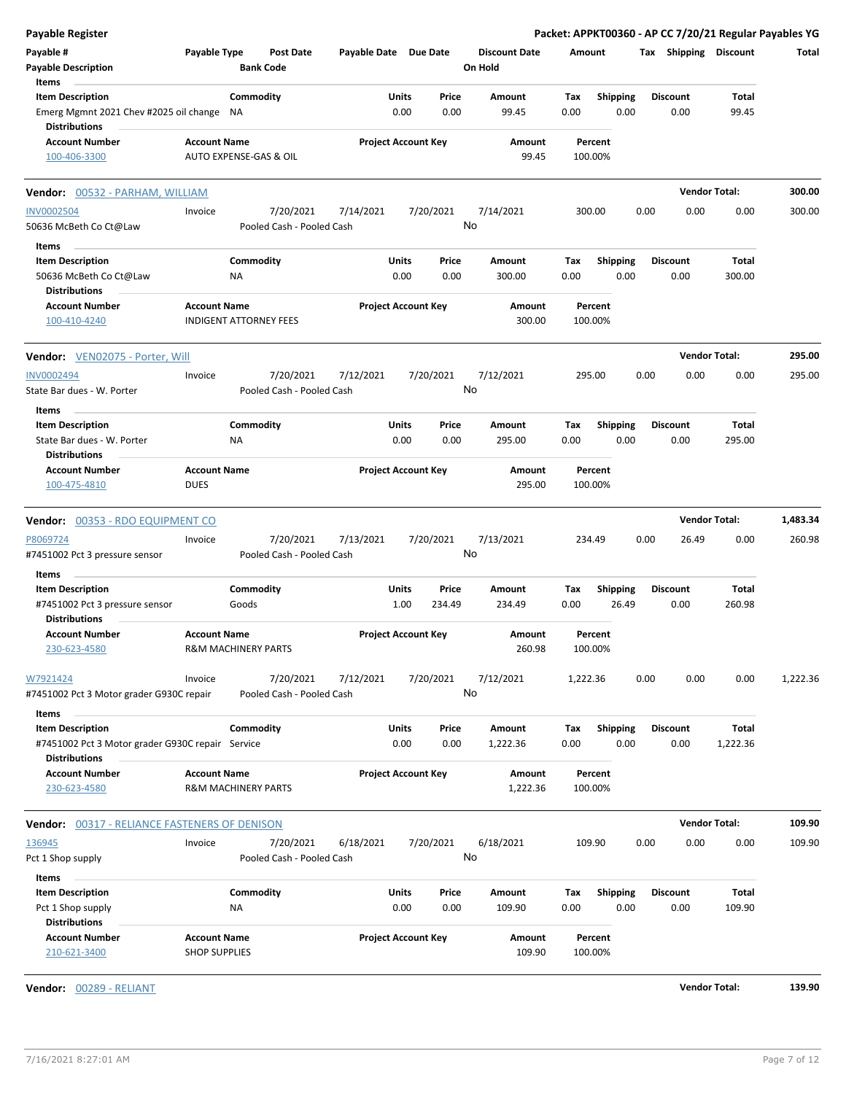| <b>Payable Register</b>                                                                             |                      |                                |                                        |                       |                            |                 |                                 |             |                         |      |                         | Packet: APPKT00360 - AP CC 7/20/21 Regular Payables YG |          |
|-----------------------------------------------------------------------------------------------------|----------------------|--------------------------------|----------------------------------------|-----------------------|----------------------------|-----------------|---------------------------------|-------------|-------------------------|------|-------------------------|--------------------------------------------------------|----------|
| Payable #<br><b>Payable Description</b>                                                             | Payable Type         | <b>Bank Code</b>               | <b>Post Date</b>                       | Payable Date Due Date |                            |                 | <b>Discount Date</b><br>On Hold | Amount      |                         |      | Tax Shipping Discount   |                                                        | Total    |
| Items<br><b>Item Description</b>                                                                    |                      | Commodity                      |                                        |                       | Units                      | Price           | Amount                          | Tax         | <b>Shipping</b>         |      | <b>Discount</b>         | Total                                                  |          |
| Emerg Mgmnt 2021 Chev #2025 oil change<br><b>Distributions</b>                                      |                      | NA                             |                                        |                       | 0.00                       | 0.00            | 99.45                           | 0.00        | 0.00                    |      | 0.00                    | 99.45                                                  |          |
| <b>Account Number</b><br>100-406-3300                                                               | <b>Account Name</b>  | AUTO EXPENSE-GAS & OIL         |                                        |                       | <b>Project Account Key</b> |                 | Amount<br>99.45                 | 100.00%     | Percent                 |      |                         |                                                        |          |
| <b>Vendor:</b> 00532 - PARHAM, WILLIAM                                                              |                      |                                |                                        |                       |                            |                 |                                 |             |                         |      |                         | <b>Vendor Total:</b>                                   | 300.00   |
| <b>INV0002504</b>                                                                                   | Invoice              |                                | 7/20/2021                              | 7/14/2021             |                            | 7/20/2021       | 7/14/2021                       | 300.00      |                         | 0.00 | 0.00                    | 0.00                                                   | 300.00   |
| 50636 McBeth Co Ct@Law                                                                              |                      |                                | Pooled Cash - Pooled Cash              |                       |                            | No              |                                 |             |                         |      |                         |                                                        |          |
| Items                                                                                               |                      |                                |                                        |                       |                            |                 |                                 |             |                         |      |                         |                                                        |          |
| <b>Item Description</b><br>50636 McBeth Co Ct@Law                                                   |                      | Commodity<br>ΝA                |                                        |                       | Units<br>0.00              | Price<br>0.00   | Amount<br>300.00                | Tax<br>0.00 | <b>Shipping</b><br>0.00 |      | <b>Discount</b><br>0.00 | Total<br>300.00                                        |          |
| <b>Distributions</b><br><b>Account Number</b><br>100-410-4240                                       | <b>Account Name</b>  | <b>INDIGENT ATTORNEY FEES</b>  |                                        |                       | <b>Project Account Key</b> |                 | Amount<br>300.00                | 100.00%     | Percent                 |      |                         |                                                        |          |
| Vendor: VEN02075 - Porter, Will                                                                     |                      |                                |                                        |                       |                            |                 |                                 |             |                         |      |                         | <b>Vendor Total:</b>                                   | 295.00   |
| <b>INV0002494</b><br>State Bar dues - W. Porter                                                     | Invoice              |                                | 7/20/2021<br>Pooled Cash - Pooled Cash | 7/12/2021             |                            | 7/20/2021<br>No | 7/12/2021                       | 295.00      |                         | 0.00 | 0.00                    | 0.00                                                   | 295.00   |
| Items                                                                                               |                      |                                |                                        |                       |                            |                 |                                 |             |                         |      |                         |                                                        |          |
| <b>Item Description</b><br>State Bar dues - W. Porter                                               |                      | Commodity<br>ΝA                |                                        |                       | Units<br>0.00              | Price<br>0.00   | Amount<br>295.00                | Tax<br>0.00 | <b>Shipping</b><br>0.00 |      | <b>Discount</b><br>0.00 | Total<br>295.00                                        |          |
| <b>Distributions</b><br><b>Account Number</b>                                                       | <b>Account Name</b>  |                                |                                        |                       | <b>Project Account Key</b> |                 | Amount                          |             | Percent                 |      |                         |                                                        |          |
| 100-475-4810                                                                                        | <b>DUES</b>          |                                |                                        |                       |                            |                 | 295.00                          | 100.00%     |                         |      |                         |                                                        |          |
| Vendor: 00353 - RDO EQUIPMENT CO                                                                    |                      |                                |                                        |                       |                            |                 |                                 |             |                         |      |                         | <b>Vendor Total:</b>                                   | 1,483.34 |
| P8069724                                                                                            | Invoice              |                                | 7/20/2021                              | 7/13/2021             |                            | 7/20/2021       | 7/13/2021                       | 234.49      |                         | 0.00 | 26.49                   | 0.00                                                   | 260.98   |
| #7451002 Pct 3 pressure sensor<br>Items                                                             |                      |                                | Pooled Cash - Pooled Cash              |                       |                            | No              |                                 |             |                         |      |                         |                                                        |          |
| <b>Item Description</b>                                                                             |                      | Commodity                      |                                        |                       | Units                      | Price           | Amount                          | Tax         | <b>Shipping</b>         |      | <b>Discount</b>         | Total                                                  |          |
| #7451002 Pct 3 pressure sensor<br><b>Distributions</b>                                              |                      | Goods                          |                                        |                       | 1.00                       | 234.49          | 234.49                          | 0.00        | 26.49                   |      | 0.00                    | 260.98                                                 |          |
| <b>Account Number</b><br>230-623-4580                                                               | <b>Account Name</b>  | <b>R&amp;M MACHINERY PARTS</b> |                                        |                       | <b>Project Account Key</b> |                 | Amount<br>260.98                | 100.00%     | Percent                 |      |                         |                                                        |          |
| W7921424<br>#7451002 Pct 3 Motor grader G930C repair                                                | Invoice              |                                | 7/20/2021<br>Pooled Cash - Pooled Cash | 7/12/2021             |                            | 7/20/2021<br>No | 7/12/2021                       | 1,222.36    |                         | 0.00 | 0.00                    | 0.00                                                   | 1,222.36 |
| Items                                                                                               |                      | Commodity                      |                                        |                       | Units                      | Price           | Amount                          | Tax         |                         |      | <b>Discount</b>         | Total                                                  |          |
| <b>Item Description</b><br>#7451002 Pct 3 Motor grader G930C repair Service<br><b>Distributions</b> |                      |                                |                                        |                       | 0.00                       | 0.00            | 1,222.36                        | 0.00        | <b>Shipping</b><br>0.00 |      | 0.00                    | 1,222.36                                               |          |
| <b>Account Number</b>                                                                               | <b>Account Name</b>  |                                |                                        |                       | <b>Project Account Key</b> |                 | Amount                          |             | Percent                 |      |                         |                                                        |          |
| 230-623-4580                                                                                        |                      | R&M MACHINERY PARTS            |                                        |                       |                            |                 | 1,222.36                        | 100.00%     |                         |      |                         |                                                        |          |
| <b>Vendor:</b> 00317 - RELIANCE FASTENERS OF DENISON                                                |                      |                                |                                        |                       |                            |                 |                                 |             |                         |      |                         | <b>Vendor Total:</b>                                   | 109.90   |
| 136945                                                                                              | Invoice              |                                | 7/20/2021                              | 6/18/2021             |                            | 7/20/2021       | 6/18/2021                       | 109.90      |                         | 0.00 | 0.00                    | 0.00                                                   | 109.90   |
| Pct 1 Shop supply                                                                                   |                      |                                | Pooled Cash - Pooled Cash              |                       |                            | No              |                                 |             |                         |      |                         |                                                        |          |
| Items                                                                                               |                      |                                |                                        |                       |                            |                 |                                 |             |                         |      |                         |                                                        |          |
| <b>Item Description</b>                                                                             |                      | Commodity<br>ΝA                |                                        |                       | Units<br>0.00              | Price<br>0.00   | Amount<br>109.90                | Tax<br>0.00 | <b>Shipping</b><br>0.00 |      | <b>Discount</b><br>0.00 | Total<br>109.90                                        |          |
| Pct 1 Shop supply<br><b>Distributions</b><br><b>Account Number</b>                                  | <b>Account Name</b>  |                                |                                        |                       | <b>Project Account Key</b> |                 | Amount                          |             | Percent                 |      |                         |                                                        |          |
| 210-621-3400                                                                                        | <b>SHOP SUPPLIES</b> |                                |                                        |                       |                            |                 | 109.90                          | 100.00%     |                         |      |                         |                                                        |          |

**Vendor:** 00289 - RELIANT **Vendor Total: 139.90**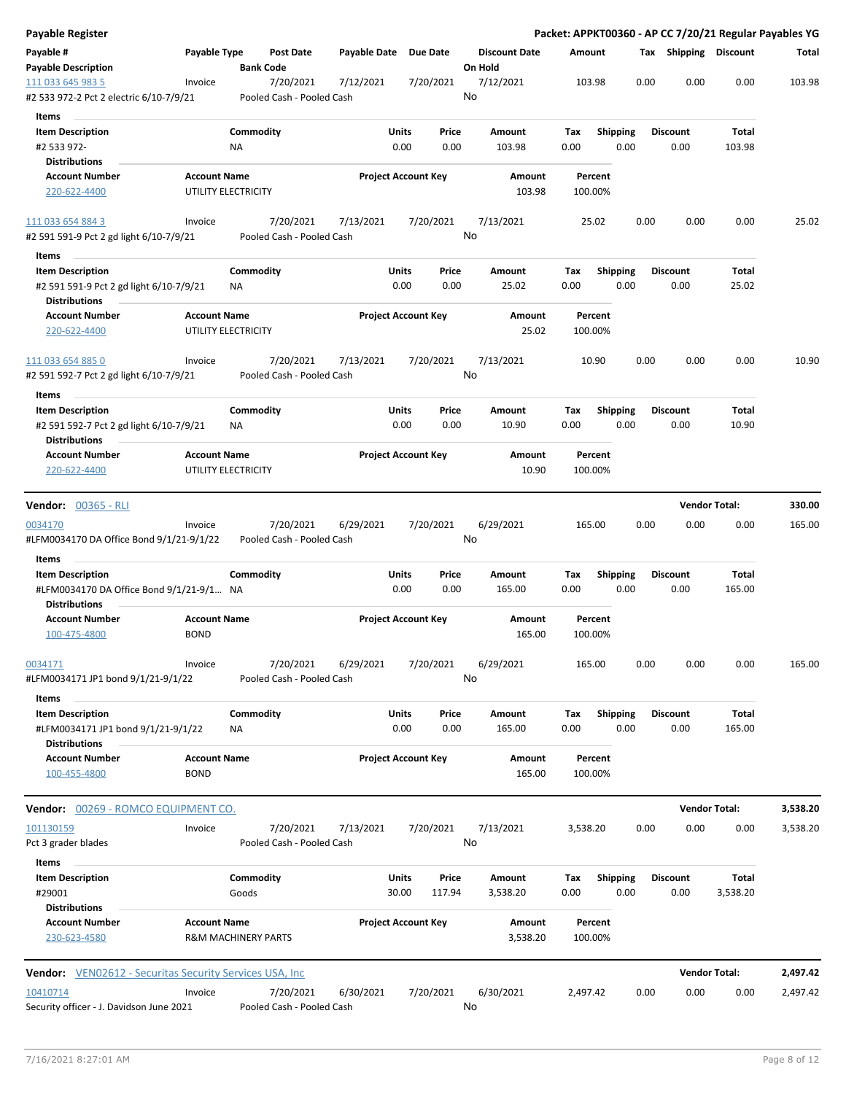| Payable Register                                                                      |                                    |                                        |              |                                |                                 | Packet: APPKT00360 - AP CC 7/20/21 Regular Payables YG |      |                         |                      |          |
|---------------------------------------------------------------------------------------|------------------------------------|----------------------------------------|--------------|--------------------------------|---------------------------------|--------------------------------------------------------|------|-------------------------|----------------------|----------|
| Payable #<br><b>Payable Description</b>                                               | Payable Type                       | <b>Post Date</b><br><b>Bank Code</b>   | Payable Date | <b>Due Date</b>                | <b>Discount Date</b><br>On Hold | Amount                                                 |      | Tax Shipping Discount   |                      | Total    |
| 111 033 645 983 5                                                                     | Invoice                            | 7/20/2021                              | 7/12/2021    | 7/20/2021                      | 7/12/2021                       | 103.98                                                 | 0.00 | 0.00                    | 0.00                 | 103.98   |
| #2 533 972-2 Pct 2 electric 6/10-7/9/21                                               |                                    | Pooled Cash - Pooled Cash              |              |                                | No                              |                                                        |      |                         |                      |          |
| Items                                                                                 |                                    |                                        |              |                                |                                 |                                                        |      |                         |                      |          |
| <b>Item Description</b><br>#2 533 972-                                                |                                    | Commodity<br>ΝA                        |              | Units<br>Price<br>0.00<br>0.00 | Amount<br>103.98                | Tax<br><b>Shipping</b><br>0.00<br>0.00                 |      | <b>Discount</b><br>0.00 | Total<br>103.98      |          |
| <b>Distributions</b>                                                                  |                                    |                                        |              |                                |                                 |                                                        |      |                         |                      |          |
| <b>Account Number</b><br>220-622-4400                                                 | <b>Account Name</b>                | UTILITY ELECTRICITY                    |              | <b>Project Account Key</b>     | Amount<br>103.98                | Percent<br>100.00%                                     |      |                         |                      |          |
| 111 033 654 884 3<br>#2 591 591-9 Pct 2 gd light 6/10-7/9/21                          | Invoice                            | 7/20/2021<br>Pooled Cash - Pooled Cash | 7/13/2021    | 7/20/2021                      | 7/13/2021<br>No                 | 25.02                                                  | 0.00 | 0.00                    | 0.00                 | 25.02    |
| Items                                                                                 |                                    |                                        |              |                                |                                 |                                                        |      |                         |                      |          |
| <b>Item Description</b>                                                               |                                    | Commodity                              |              | Units<br>Price                 | Amount                          | Tax<br><b>Shipping</b>                                 |      | <b>Discount</b>         | Total                |          |
| #2 591 591-9 Pct 2 gd light 6/10-7/9/21                                               |                                    | NA                                     |              | 0.00<br>0.00                   | 25.02                           | 0.00<br>0.00                                           |      | 0.00                    | 25.02                |          |
| <b>Distributions</b>                                                                  |                                    |                                        |              |                                |                                 |                                                        |      |                         |                      |          |
| <b>Account Number</b><br>220-622-4400                                                 | <b>Account Name</b>                | UTILITY ELECTRICITY                    |              | <b>Project Account Key</b>     | Amount<br>25.02                 | Percent<br>100.00%                                     |      |                         |                      |          |
| 111 033 654 885 0<br>#2 591 592-7 Pct 2 gd light 6/10-7/9/21                          | Invoice                            | 7/20/2021<br>Pooled Cash - Pooled Cash | 7/13/2021    | 7/20/2021                      | 7/13/2021<br>No                 | 10.90                                                  | 0.00 | 0.00                    | 0.00                 | 10.90    |
|                                                                                       |                                    |                                        |              |                                |                                 |                                                        |      |                         |                      |          |
| Items<br><b>Item Description</b>                                                      |                                    | Commodity                              |              | Units<br>Price                 | Amount                          | <b>Shipping</b><br>Tax                                 |      | <b>Discount</b>         | Total                |          |
| #2 591 592-7 Pct 2 gd light 6/10-7/9/21<br><b>Distributions</b>                       |                                    | ΝA                                     |              | 0.00<br>0.00                   | 10.90                           | 0.00<br>0.00                                           |      | 0.00                    | 10.90                |          |
| <b>Account Number</b><br>220-622-4400                                                 | <b>Account Name</b>                | UTILITY ELECTRICITY                    |              | <b>Project Account Key</b>     | Amount<br>10.90                 | Percent<br>100.00%                                     |      |                         |                      |          |
|                                                                                       |                                    |                                        |              |                                |                                 |                                                        |      |                         |                      |          |
| <b>Vendor: 00365 - RLI</b>                                                            |                                    |                                        |              |                                |                                 |                                                        |      |                         | <b>Vendor Total:</b> | 330.00   |
| 0034170                                                                               | Invoice                            | 7/20/2021                              | 6/29/2021    | 7/20/2021                      | 6/29/2021                       | 165.00                                                 | 0.00 | 0.00                    | 0.00                 | 165.00   |
| #LFM0034170 DA Office Bond 9/1/21-9/1/22<br>Items                                     |                                    | Pooled Cash - Pooled Cash              |              |                                | No                              |                                                        |      |                         |                      |          |
| <b>Item Description</b>                                                               |                                    | Commodity                              |              | Units<br>Price                 | Amount                          | Shipping<br>Tax                                        |      | <b>Discount</b>         | Total                |          |
| #LFM0034170 DA Office Bond 9/1/21-9/1 NA<br><b>Distributions</b>                      |                                    |                                        |              | 0.00<br>0.00                   | 165.00                          | 0.00<br>0.00                                           |      | 0.00                    | 165.00               |          |
| <b>Account Number</b><br>100-475-4800                                                 | <b>Account Name</b><br><b>BOND</b> |                                        |              | <b>Project Account Key</b>     | Amount<br>165.00                | Percent<br>100.00%                                     |      |                         |                      |          |
| 0034171                                                                               | Invoice                            | 7/20/2021                              | 6/29/2021    | 7/20/2021                      | 6/29/2021                       | 165.00                                                 | 0.00 | 0.00                    | 0.00                 | 165.00   |
| #LFM0034171 JP1 bond 9/1/21-9/1/22                                                    |                                    | Pooled Cash - Pooled Cash              |              |                                | No                              |                                                        |      |                         |                      |          |
| Items                                                                                 |                                    |                                        |              |                                |                                 |                                                        |      |                         |                      |          |
| <b>Item Description</b><br>#LFM0034171 JP1 bond 9/1/21-9/1/22<br><b>Distributions</b> |                                    | Commodity<br>ΝA                        |              | Units<br>Price<br>0.00<br>0.00 | Amount<br>165.00                | Shipping<br>Tax<br>0.00<br>0.00                        |      | Discount<br>0.00        | Total<br>165.00      |          |
| <b>Account Number</b><br>100-455-4800                                                 | <b>Account Name</b><br><b>BOND</b> |                                        |              | <b>Project Account Key</b>     | Amount<br>165.00                | Percent<br>100.00%                                     |      |                         |                      |          |
| Vendor: 00269 - ROMCO EQUIPMENT CO.                                                   |                                    |                                        |              |                                |                                 |                                                        |      |                         | <b>Vendor Total:</b> | 3,538.20 |
| 101130159                                                                             | Invoice                            | 7/20/2021                              | 7/13/2021    | 7/20/2021                      | 7/13/2021                       | 3,538.20                                               | 0.00 | 0.00                    | 0.00                 | 3,538.20 |
| Pct 3 grader blades<br>Items                                                          |                                    | Pooled Cash - Pooled Cash              |              |                                | No                              |                                                        |      |                         |                      |          |
| <b>Item Description</b>                                                               |                                    | Commodity                              |              | <b>Units</b><br>Price          | Amount                          | <b>Shipping</b><br>Tax                                 |      | Discount                | Total                |          |
| #29001<br><b>Distributions</b>                                                        |                                    | Goods                                  |              | 30.00<br>117.94                | 3,538.20                        | 0.00<br>0.00                                           |      | 0.00                    | 3,538.20             |          |
| <b>Account Number</b><br>230-623-4580                                                 | <b>Account Name</b>                | <b>R&amp;M MACHINERY PARTS</b>         |              | <b>Project Account Key</b>     | Amount<br>3,538.20              | Percent<br>100.00%                                     |      |                         |                      |          |
| Vendor: VEN02612 - Securitas Security Services USA, Inc.                              |                                    |                                        |              |                                |                                 |                                                        |      |                         | <b>Vendor Total:</b> | 2,497.42 |
| 10410714                                                                              | Invoice                            | 7/20/2021                              | 6/30/2021    | 7/20/2021                      | 6/30/2021                       | 2,497.42                                               | 0.00 | 0.00                    | 0.00                 | 2,497.42 |
| Security officer - J. Davidson June 2021                                              |                                    | Pooled Cash - Pooled Cash              |              |                                | No                              |                                                        |      |                         |                      |          |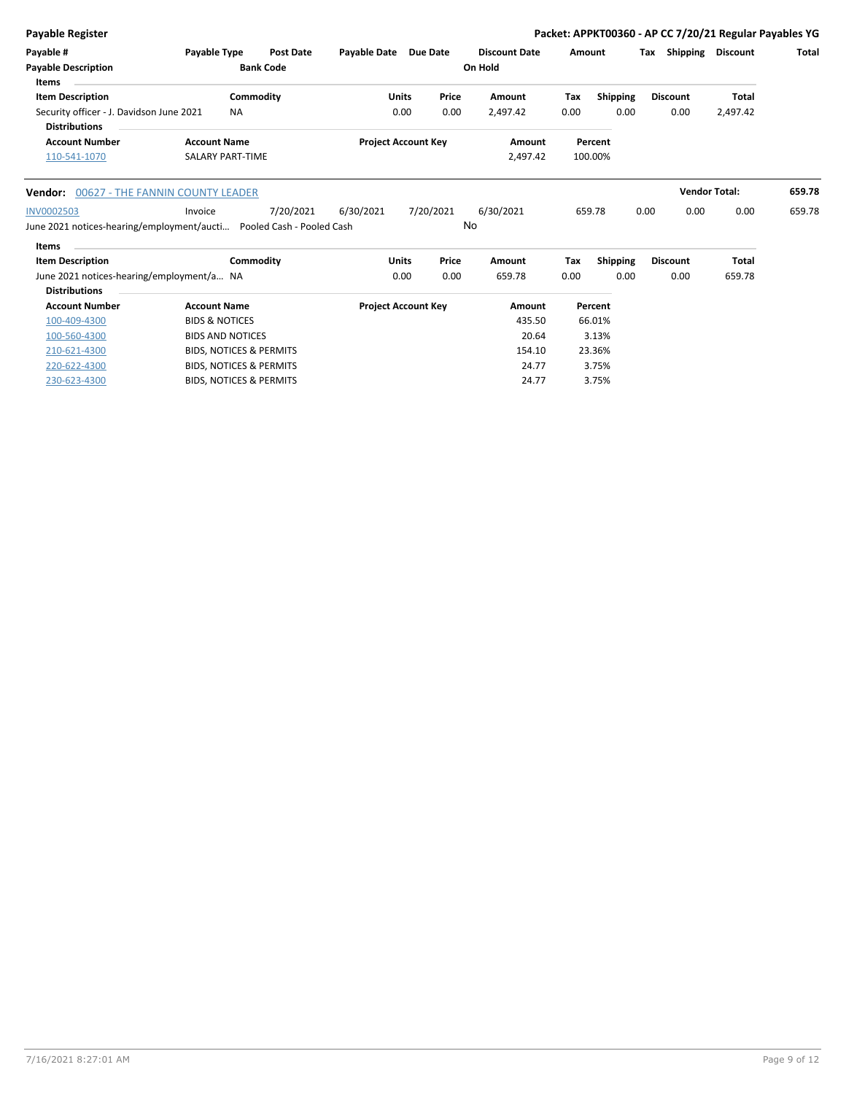| <b>Payable Register</b>                         |                         |                  |                     |                            |       |                      |        |          |     |                 | Packet: APPKT00360 - AP CC 7/20/21 Regular Payables YG |              |
|-------------------------------------------------|-------------------------|------------------|---------------------|----------------------------|-------|----------------------|--------|----------|-----|-----------------|--------------------------------------------------------|--------------|
| Payable #                                       | Payable Type            | <b>Post Date</b> | <b>Pavable Date</b> | Due Date                   |       | <b>Discount Date</b> | Amount |          | Tax | Shipping        | Discount                                               | <b>Total</b> |
| <b>Payable Description</b>                      |                         | <b>Bank Code</b> |                     |                            |       | On Hold              |        |          |     |                 |                                                        |              |
| Items                                           |                         |                  |                     |                            |       |                      |        |          |     |                 |                                                        |              |
| <b>Item Description</b>                         |                         | Commodity        | Units               |                            | Price | Amount               | Tax    | Shipping |     | <b>Discount</b> | <b>Total</b>                                           |              |
| Security officer - J. Davidson June 2021        | <b>NA</b>               |                  |                     | 0.00                       | 0.00  | 2.497.42             | 0.00   | 0.00     |     | 0.00            | 2,497.42                                               |              |
| <b>Distributions</b>                            |                         |                  |                     |                            |       |                      |        |          |     |                 |                                                        |              |
| <b>Account Number</b>                           | <b>Account Name</b>     |                  |                     | <b>Project Account Key</b> |       | Amount               |        | Percent  |     |                 |                                                        |              |
| 110-541-1070                                    | <b>SALARY PART-TIME</b> |                  |                     |                            |       | 2,497.42             |        | 100.00%  |     |                 |                                                        |              |
|                                                 |                         |                  |                     |                            |       |                      |        |          |     |                 |                                                        |              |
| <b>Mondonia COCOR THE FANNINI COUNTY LEADER</b> |                         |                  |                     |                            |       |                      |        |          |     |                 | <i>Mondor Totali</i>                                   | CEO 70       |

|            | <b>Vendor:</b> 00627 - THE FANNIN COUNTY LEADER                       |           |           |           |           |        |      | <b>Vendor Total:</b> |      | 659.78 |
|------------|-----------------------------------------------------------------------|-----------|-----------|-----------|-----------|--------|------|----------------------|------|--------|
| INV0002503 | Invoice                                                               | 7/20/2021 | 6/30/2021 | 7/20/2021 | 6/30/2021 | 659.78 | 0.00 |                      | 0.00 | 659.78 |
|            | June 2021 notices-hearing/employment/aucti  Pooled Cash - Pooled Cash |           |           |           | No        |        |      |                      |      |        |

| Items |  |
|-------|--|

| <b>Item Description</b>                   | Commodity                          | Units                      | Price | Amount | Tax  | <b>Shipping</b> | <b>Discount</b> | <b>Total</b> |
|-------------------------------------------|------------------------------------|----------------------------|-------|--------|------|-----------------|-----------------|--------------|
| June 2021 notices-hearing/employment/a NA |                                    | 0.00                       | 0.00  | 659.78 | 0.00 | 0.00            | 0.00            | 659.78       |
| <b>Distributions</b>                      |                                    |                            |       |        |      |                 |                 |              |
| <b>Account Number</b>                     | <b>Account Name</b>                | <b>Project Account Key</b> |       | Amount |      | Percent         |                 |              |
| 100-409-4300                              | <b>BIDS &amp; NOTICES</b>          |                            |       | 435.50 |      | 66.01%          |                 |              |
| 100-560-4300                              | <b>BIDS AND NOTICES</b>            |                            |       | 20.64  |      | 3.13%           |                 |              |
| 210-621-4300                              | <b>BIDS, NOTICES &amp; PERMITS</b> |                            |       | 154.10 |      | 23.36%          |                 |              |
| 220-622-4300                              | <b>BIDS, NOTICES &amp; PERMITS</b> |                            |       | 24.77  |      | 3.75%           |                 |              |
| 230-623-4300                              | <b>BIDS, NOTICES &amp; PERMITS</b> |                            |       | 24.77  |      | 3.75%           |                 |              |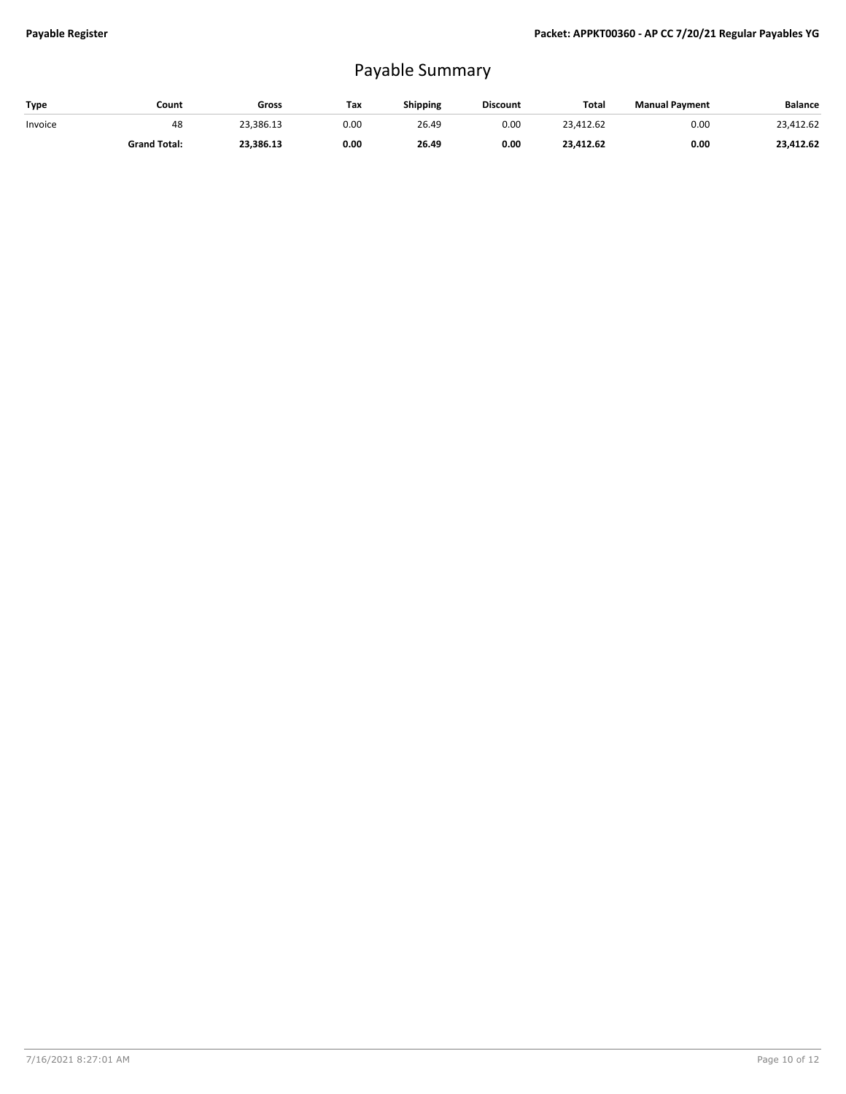## Payable Summary

| Type    | Count               | Gross     | Tax  | <b>Shipping</b> | <b>Discount</b> | Total     | <b>Manual Payment</b> | Balance   |
|---------|---------------------|-----------|------|-----------------|-----------------|-----------|-----------------------|-----------|
| Invoice | 48                  | 23.386.13 | 0.00 | 26.49           | 0.00            | 23.412.62 | 0.00                  | 23.412.62 |
|         | <b>Grand Total:</b> | 23,386.13 | 0.00 | 26.49           | 0.00            | 23.412.62 | 0.00                  | 23,412.62 |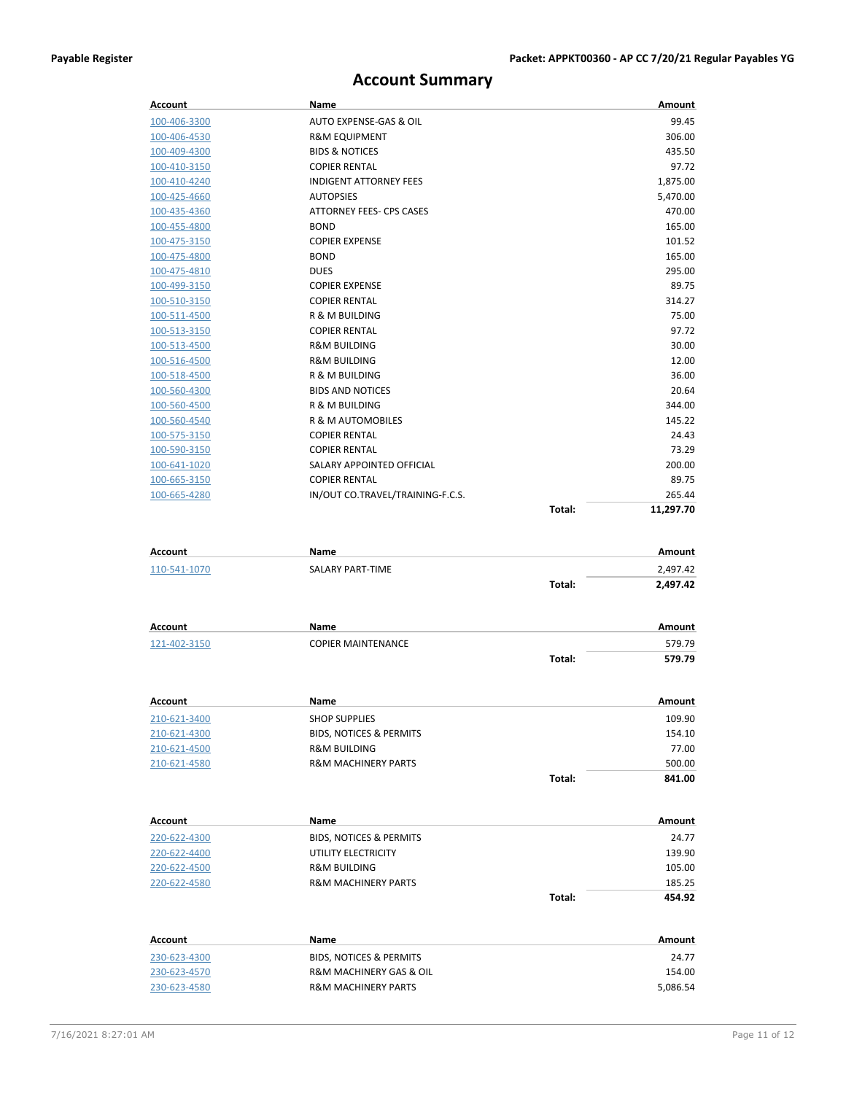## **Account Summary**

| Account                      | Name                                              |        | Amount          |
|------------------------------|---------------------------------------------------|--------|-----------------|
| 100-406-3300                 | AUTO EXPENSE-GAS & OIL                            |        | 99.45           |
| 100-406-4530                 | <b>R&amp;M EQUIPMENT</b>                          |        | 306.00          |
| 100-409-4300                 | <b>BIDS &amp; NOTICES</b>                         |        | 435.50          |
| 100-410-3150                 | <b>COPIER RENTAL</b>                              |        | 97.72           |
| 100-410-4240                 | <b>INDIGENT ATTORNEY FEES</b>                     |        | 1,875.00        |
| 100-425-4660                 | <b>AUTOPSIES</b>                                  |        | 5,470.00        |
| 100-435-4360                 | ATTORNEY FEES- CPS CASES                          |        | 470.00          |
| 100-455-4800                 | <b>BOND</b>                                       |        | 165.00          |
| 100-475-3150                 | <b>COPIER EXPENSE</b>                             |        | 101.52          |
| 100-475-4800                 | <b>BOND</b>                                       |        | 165.00          |
| <u>100-475-4810</u>          | <b>DUES</b>                                       |        | 295.00          |
| 100-499-3150                 | <b>COPIER EXPENSE</b>                             |        | 89.75           |
| 100-510-3150                 | <b>COPIER RENTAL</b>                              |        | 314.27          |
| 100-511-4500                 | R & M BUILDING                                    |        | 75.00           |
| 100-513-3150                 | <b>COPIER RENTAL</b>                              |        | 97.72           |
| 100-513-4500                 | <b>R&amp;M BUILDING</b>                           |        | 30.00           |
| 100-516-4500                 | <b>R&amp;M BUILDING</b>                           |        | 12.00           |
| 100-518-4500                 | R & M BUILDING                                    |        | 36.00           |
| 100-560-4300                 | <b>BIDS AND NOTICES</b>                           |        | 20.64           |
| 100-560-4500                 | <b>R &amp; M BUILDING</b>                         |        | 344.00          |
| 100-560-4540                 | R & M AUTOMOBILES                                 |        | 145.22          |
| 100-575-3150                 | <b>COPIER RENTAL</b>                              |        | 24.43           |
| 100-590-3150                 | <b>COPIER RENTAL</b>                              |        | 73.29           |
| 100-641-1020                 | SALARY APPOINTED OFFICIAL<br><b>COPIER RENTAL</b> |        | 200.00<br>89.75 |
| 100-665-3150<br>100-665-4280 | IN/OUT CO.TRAVEL/TRAINING-F.C.S.                  |        | 265.44          |
|                              |                                                   | Total: | 11,297.70       |
|                              |                                                   |        |                 |
|                              |                                                   |        |                 |
| Account                      | Name                                              |        | Amount          |
| 110-541-1070                 | <b>SALARY PART-TIME</b>                           |        | 2,497.42        |
|                              |                                                   | Total: | 2,497.42        |
|                              |                                                   |        |                 |
| Account                      | Name                                              |        | Amount          |
| 121-402-3150                 | <b>COPIER MAINTENANCE</b>                         |        | 579.79          |
|                              |                                                   | Total: | 579.79          |
|                              |                                                   |        |                 |
| Account                      | Name                                              |        | Amount          |
| <u>210-621-3400</u>          | <b>SHOP SUPPLIES</b>                              |        | 109.90          |
| 210-621-4300                 | BIDS, NOTICES & PERMITS                           |        | 154.10          |
| 210-621-4500                 | <b>R&amp;M BUILDING</b>                           |        | 77.00           |
| 210-621-4580                 | <b>R&amp;M MACHINERY PARTS</b>                    |        | 500.00          |
|                              |                                                   | Total: | 841.00          |
|                              |                                                   |        |                 |
| <b>Account</b>               | Name                                              |        | Amount          |
| 220-622-4300                 | <b>BIDS, NOTICES &amp; PERMITS</b>                |        | 24.77           |
| 220-622-4400                 | UTILITY ELECTRICITY                               |        | 139.90          |
| <u>220-622-4500</u>          | R&M BUILDING                                      |        | 105.00          |
| 220-622-4580                 | <b>R&amp;M MACHINERY PARTS</b>                    |        | 185.25          |
|                              |                                                   | Total: | 454.92          |
|                              |                                                   |        |                 |
| <b>Account</b>               | Name                                              |        | Amount          |
| 230-623-4300                 | BIDS, NOTICES & PERMITS                           |        | 24.77           |
| 230-623-4570                 | R&M MACHINERY GAS & OIL                           |        | 154.00          |
| 230-623-4580                 | R&M MACHINERY PARTS                               |        | 5,086.54        |